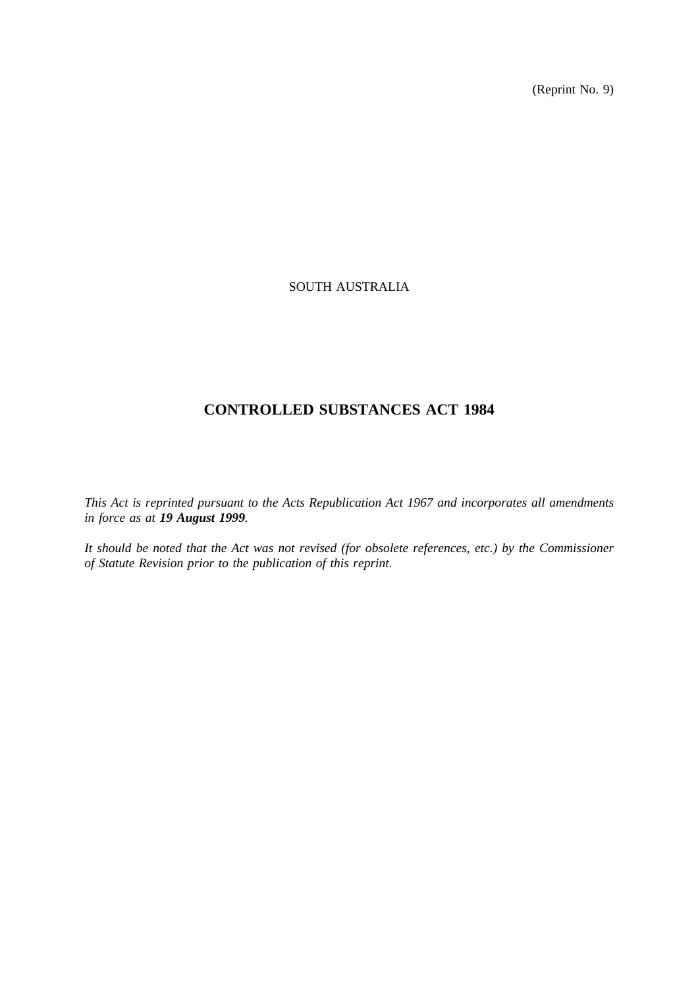(Reprint No. 9)

# SOUTH AUSTRALIA

# **CONTROLLED SUBSTANCES ACT 1984**

*This Act is reprinted pursuant to the Acts Republication Act 1967 and incorporates all amendments in force as at 19 August 1999.*

*It should be noted that the Act was not revised (for obsolete references, etc.) by the Commissioner of Statute Revision prior to the publication of this reprint.*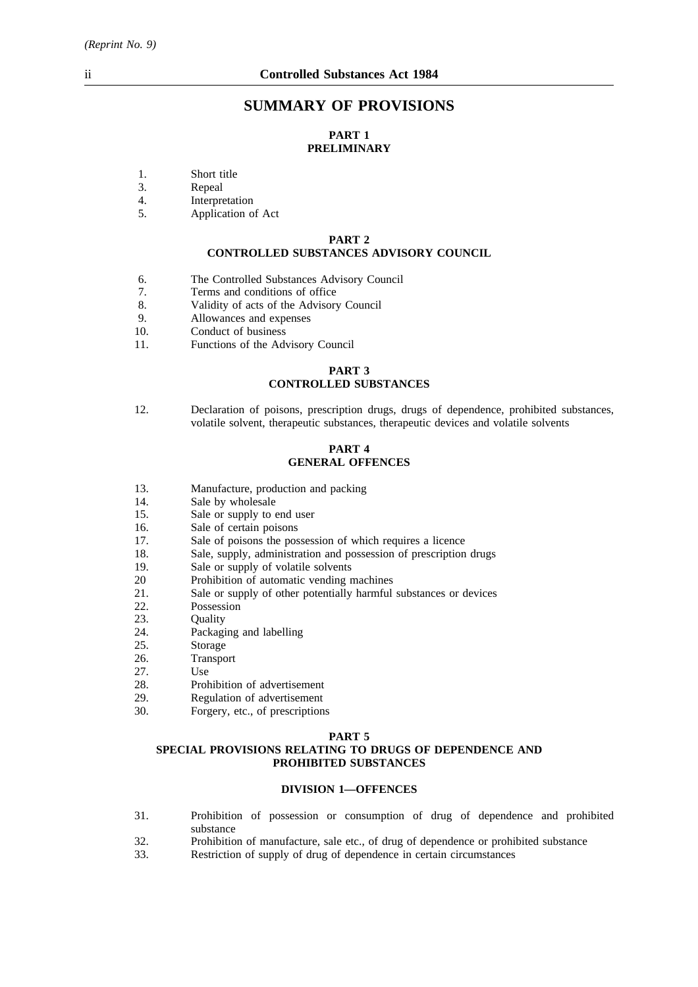# **SUMMARY OF PROVISIONS**

# **PART 1 PRELIMINARY**

- 1. Short title
- 3. Repeal
- 4. Interpretation
- 5. Application of Act

## **PART 2 CONTROLLED SUBSTANCES ADVISORY COUNCIL**

- 6. The Controlled Substances Advisory Council
- 7. Terms and conditions of office
- 8. Validity of acts of the Advisory Council
- 9. Allowances and expenses
- 10. Conduct of business
- 11. Functions of the Advisory Council

## **PART 3 CONTROLLED SUBSTANCES**

12. Declaration of poisons, prescription drugs, drugs of dependence, prohibited substances, volatile solvent, therapeutic substances, therapeutic devices and volatile solvents

#### **PART 4 GENERAL OFFENCES**

- 13. Manufacture, production and packing<br>14. Sale by wholesale
- Sale by wholesale
- 15. Sale or supply to end user
- 16. Sale of certain poisons
- 17. Sale of poisons the possession of which requires a licence
- 18. Sale, supply, administration and possession of prescription drugs
- 19. Sale or supply of volatile solvents
- 20 Prohibition of automatic vending machines
- 21. Sale or supply of other potentially harmful substances or devices
- 22. Possession
- 23. Quality
- 24. Packaging and labelling
- 25. Storage
- 26. Transport
- 27. Use
- 28. Prohibition of advertisement<br>29. Regulation of advertisement
- 29. Regulation of advertisement<br>30. Forgery, etc., of prescription
- Forgery, etc., of prescriptions

#### **PART 5**

## **SPECIAL PROVISIONS RELATING TO DRUGS OF DEPENDENCE AND PROHIBITED SUBSTANCES**

#### **DIVISION 1—OFFENCES**

- 31. Prohibition of possession or consumption of drug of dependence and prohibited substance
- 32. Prohibition of manufacture, sale etc., of drug of dependence or prohibited substance
- 33. Restriction of supply of drug of dependence in certain circumstances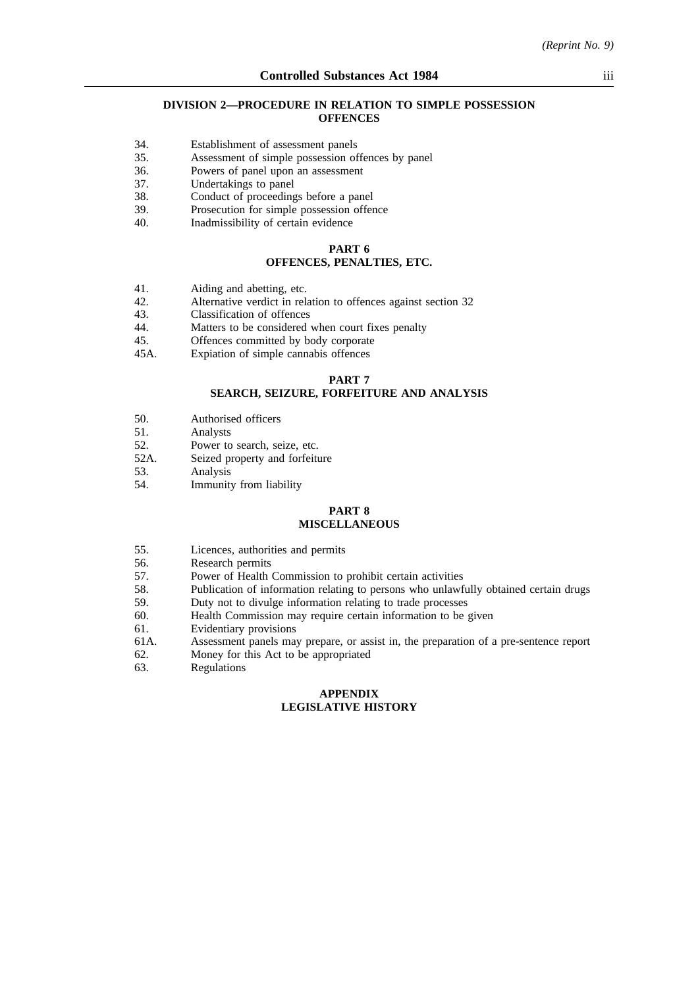#### **DIVISION 2—PROCEDURE IN RELATION TO SIMPLE POSSESSION OFFENCES**

- 34. Establishment of assessment panels
- 35. Assessment of simple possession offences by panel
- 36. Powers of panel upon an assessment
- 37. Undertakings to panel
- 38. Conduct of proceedings before a panel
- 39. Prosecution for simple possession offence
- 40. Inadmissibility of certain evidence

#### **PART 6 OFFENCES, PENALTIES, ETC.**

- 41. Aiding and abetting, etc.<br>42. Alternative verdict in rel
- 42. Alternative verdict in relation to offences against section 32<br>43. Classification of offences
- 43. Classification of offences<br>44. Matters to be considered
- 44. Matters to be considered when court fixes penalty<br>45. Offences committed by body corporate
- Offences committed by body corporate
- 45A. Expiation of simple cannabis offences

#### **PART 7**

# **SEARCH, SEIZURE, FORFEITURE AND ANALYSIS**

- 50. Authorised officers<br>51 Analysts
- 51. Analysts<br>52. Power to
- 52. Power to search, seize, etc.<br>52A Seized property and forfeit
- Seized property and forfeiture
- 53. Analysis
- 54. Immunity from liability

#### **PART 8 MISCELLANEOUS**

- 55. Licences, authorities and permits<br>56. Research permits
- Research permits
- 57. Power of Health Commission to prohibit certain activities
- 58. Publication of information relating to persons who unlawfully obtained certain drugs
- 59. Duty not to divulge information relating to trade processes
- 60. Health Commission may require certain information to be given
- 61. Evidentiary provisions
- 61A. Assessment panels may prepare, or assist in, the preparation of a pre-sentence report
- 62. Money for this Act to be appropriated
- 63. Regulations

#### **APPENDIX LEGISLATIVE HISTORY**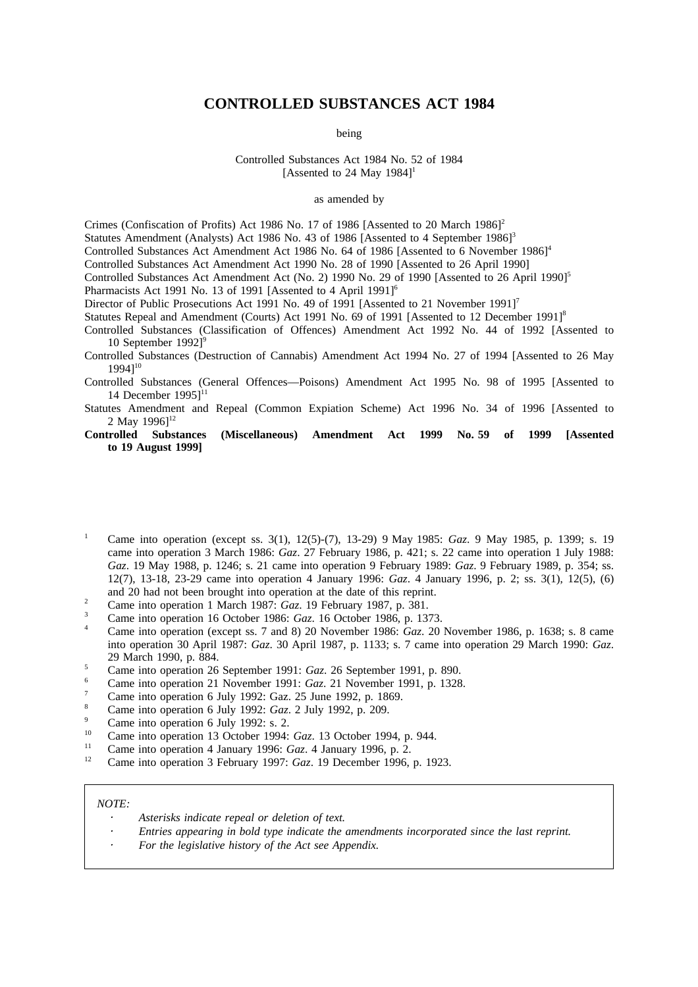# **CONTROLLED SUBSTANCES ACT 1984**

being

Controlled Substances Act 1984 No. 52 of 1984 [Assented to 24 May  $1984$ ]<sup>1</sup>

### as amended by

Crimes (Confiscation of Profits) Act 1986 No. 17 of 1986 [Assented to 20 March 1986]<sup>2</sup>

Statutes Amendment (Analysts) Act 1986 No. 43 of 1986 [Assented to 4 September 1986]<sup>3</sup>

Controlled Substances Act Amendment Act 1986 No. 64 of 1986 [Assented to 6 November 1986]<sup>4</sup>

- Controlled Substances Act Amendment Act 1990 No. 28 of 1990 [Assented to 26 April 1990]
- Controlled Substances Act Amendment Act (No. 2) 1990 No. 29 of 1990 [Assented to 26 April 1990]<sup>5</sup>

Pharmacists Act 1991 No. 13 of 1991 [Assented to 4 April 1991]<sup>6</sup>

Director of Public Prosecutions Act 1991 No. 49 of 1991 [Assented to 21 November 1991]<sup>7</sup>

Statutes Repeal and Amendment (Courts) Act 1991 No. 69 of 1991 [Assented to 12 December 1991]<sup>8</sup>

Controlled Substances (Classification of Offences) Amendment Act 1992 No. 44 of 1992 [Assented to 10 September 1992]<sup>9</sup>

Controlled Substances (Destruction of Cannabis) Amendment Act 1994 No. 27 of 1994 [Assented to 26 May 1994]10

Controlled Substances (General Offences—Poisons) Amendment Act 1995 No. 98 of 1995 [Assented to 14 December  $19951^{11}$ 

- Statutes Amendment and Repeal (Common Expiation Scheme) Act 1996 No. 34 of 1996 [Assented to 2 May  $1996$ <sup>12</sup>
- **Controlled Substances (Miscellaneous) Amendment Act 1999 No. 59 of 1999 [Assented to 19 August 1999]**
- <sup>1</sup> Came into operation (except ss. 3(1), 12(5)-(7), 13-29) 9 May 1985: *Gaz*. 9 May 1985, p. 1399; s. 19 came into operation 3 March 1986: *Gaz*. 27 February 1986, p. 421; s. 22 came into operation 1 July 1988: *Gaz*. 19 May 1988, p. 1246; s. 21 came into operation 9 February 1989: *Gaz*. 9 February 1989, p. 354; ss. 12(7), 13-18, 23-29 came into operation 4 January 1996: *Gaz*. 4 January 1996, p. 2; ss. 3(1), 12(5), (6) and 20 had not been brought into operation at the date of this reprint.
- <sup>2</sup> Came into operation 1 March 1987: *Gaz*. 19 February 1987, p. 381.
- <sup>3</sup> Came into operation 16 October 1986: *Gaz*. 16 October 1986, p. 1373.
- <sup>4</sup> Came into operation (except ss. 7 and 8) 20 November 1986: *Gaz*. 20 November 1986, p. 1638; s. 8 came into operation 30 April 1987: *Gaz*. 30 April 1987, p. 1133; s. 7 came into operation 29 March 1990: *Gaz*. 29 March 1990, p. 884.
- <sup>5</sup> Came into operation 26 September 1991: *Gaz*. 26 September 1991, p. 890.
- <sup>6</sup> Came into operation 21 November 1991: *Gaz*. 21 November 1991, p. 1328.
- <sup>7</sup> Came into operation 6 July 1992: Gaz. 25 June 1992, p. 1869.
- <sup>8</sup> Came into operation 6 July 1992: *Gaz*. 2 July 1992, p. 209.
- $^{9}$  Came into operation 6 July 1992: s. 2.
- <sup>10</sup> Came into operation 13 October 1994: *Gaz*. 13 October 1994, p. 944.
- <sup>11</sup> Came into operation 4 January 1996: *Gaz*. 4 January 1996, p. 2.<br><sup>12</sup> Came into operation 3 February 1997: *Car*, 19 December 1996.
- <sup>12</sup> Came into operation 3 February 1997: *Gaz*. 19 December 1996, p. 1923.

#### *NOTE:*

- *Asterisks indicate repeal or deletion of text.*
- *Entries appearing in bold type indicate the amendments incorporated since the last reprint.*
- *For the legislative history of the Act see Appendix.*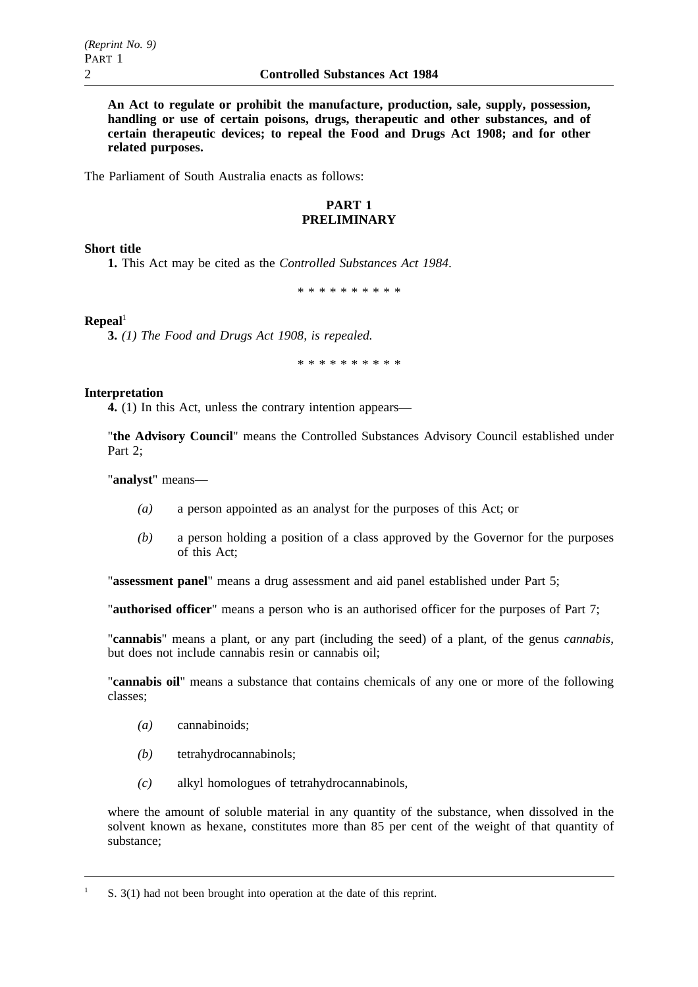**An Act to regulate or prohibit the manufacture, production, sale, supply, possession, handling or use of certain poisons, drugs, therapeutic and other substances, and of certain therapeutic devices; to repeal the Food and Drugs Act 1908; and for other related purposes.**

The Parliament of South Australia enacts as follows:

# **PART 1 PRELIMINARY**

# **Short title**

**1.** This Act may be cited as the *Controlled Substances Act 1984*.

\*\*\*\*\*\*\*\*\*\*

# $\mathbf{Repeat}^1$

**3.** *(1) The Food and Drugs Act 1908, is repealed.*

\*\*\*\*\*\*\*\*\*\*

# **Interpretation**

**4.** (1) In this Act, unless the contrary intention appears—

"**the Advisory Council**" means the Controlled Substances Advisory Council established under Part 2;

"**analyst**" means—

- *(a)* a person appointed as an analyst for the purposes of this Act; or
- *(b)* a person holding a position of a class approved by the Governor for the purposes of this Act;

"**assessment panel**" means a drug assessment and aid panel established under Part 5;

"**authorised officer**" means a person who is an authorised officer for the purposes of Part 7;

"**cannabis**" means a plant, or any part (including the seed) of a plant, of the genus *cannabis*, but does not include cannabis resin or cannabis oil;

"**cannabis oil**" means a substance that contains chemicals of any one or more of the following classes;

- *(a)* cannabinoids;
- *(b)* tetrahydrocannabinols;
- *(c)* alkyl homologues of tetrahydrocannabinols,

where the amount of soluble material in any quantity of the substance, when dissolved in the solvent known as hexane, constitutes more than 85 per cent of the weight of that quantity of substance;

<sup>&</sup>lt;sup>1</sup> S. 3(1) had not been brought into operation at the date of this reprint.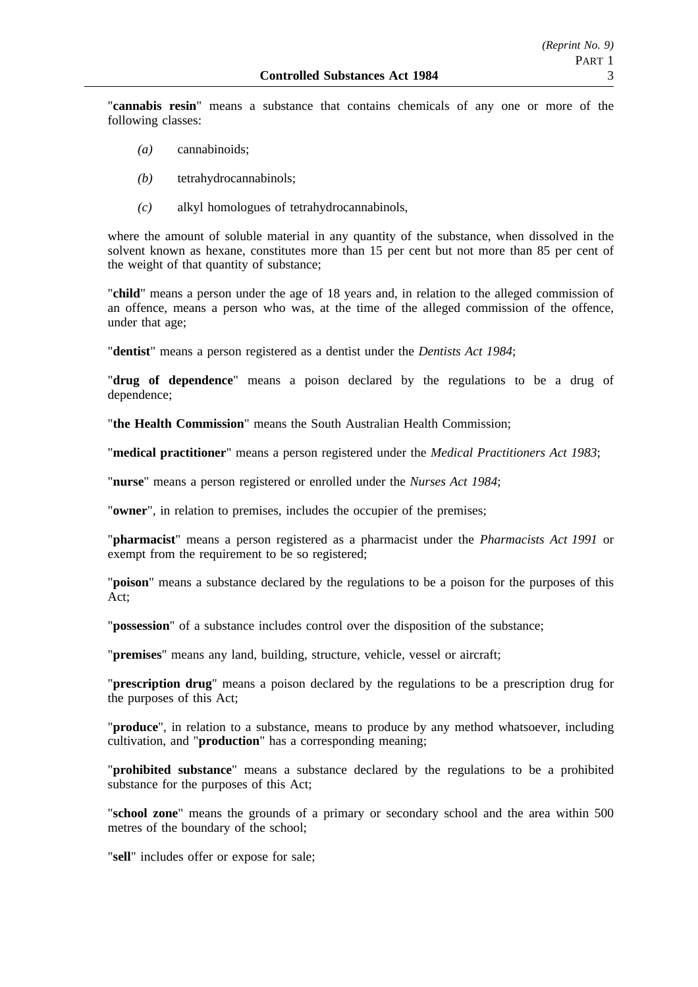"**cannabis resin**" means a substance that contains chemicals of any one or more of the following classes:

- *(a)* cannabinoids;
- *(b)* tetrahydrocannabinols;
- *(c)* alkyl homologues of tetrahydrocannabinols,

where the amount of soluble material in any quantity of the substance, when dissolved in the solvent known as hexane, constitutes more than 15 per cent but not more than 85 per cent of the weight of that quantity of substance;

"**child**" means a person under the age of 18 years and, in relation to the alleged commission of an offence, means a person who was, at the time of the alleged commission of the offence, under that age;

"**dentist**" means a person registered as a dentist under the *Dentists Act 1984*;

"**drug of dependence**" means a poison declared by the regulations to be a drug of dependence;

"**the Health Commission**" means the South Australian Health Commission;

"**medical practitioner**" means a person registered under the *Medical Practitioners Act 1983*;

"**nurse**" means a person registered or enrolled under the *Nurses Act 1984*;

"**owner**", in relation to premises, includes the occupier of the premises;

"**pharmacist**" means a person registered as a pharmacist under the *Pharmacists Act 1991* or exempt from the requirement to be so registered;

"**poison**" means a substance declared by the regulations to be a poison for the purposes of this Act;

"**possession**" of a substance includes control over the disposition of the substance;

"**premises**" means any land, building, structure, vehicle, vessel or aircraft;

"**prescription drug**" means a poison declared by the regulations to be a prescription drug for the purposes of this Act;

"**produce**", in relation to a substance, means to produce by any method whatsoever, including cultivation, and "**production**" has a corresponding meaning;

"**prohibited substance**" means a substance declared by the regulations to be a prohibited substance for the purposes of this Act;

"**school zone**" means the grounds of a primary or secondary school and the area within 500 metres of the boundary of the school;

"**sell**" includes offer or expose for sale;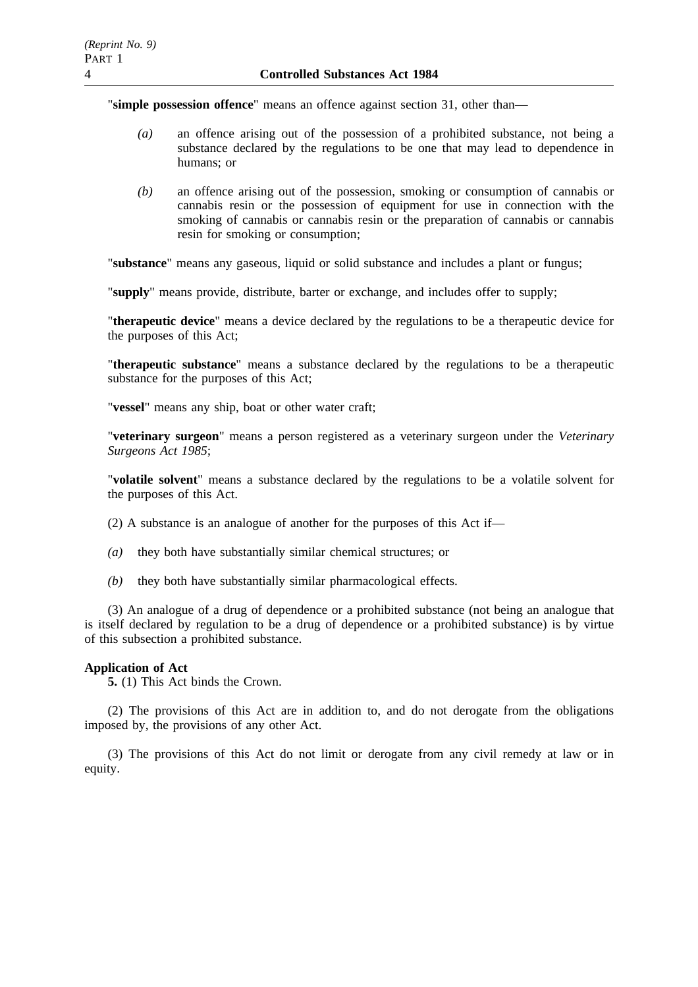"**simple possession offence**" means an offence against section 31, other than—

- *(a)* an offence arising out of the possession of a prohibited substance, not being a substance declared by the regulations to be one that may lead to dependence in humans; or
- *(b)* an offence arising out of the possession, smoking or consumption of cannabis or cannabis resin or the possession of equipment for use in connection with the smoking of cannabis or cannabis resin or the preparation of cannabis or cannabis resin for smoking or consumption;

"**substance**" means any gaseous, liquid or solid substance and includes a plant or fungus;

"**supply**" means provide, distribute, barter or exchange, and includes offer to supply;

"**therapeutic device**" means a device declared by the regulations to be a therapeutic device for the purposes of this Act;

"**therapeutic substance**" means a substance declared by the regulations to be a therapeutic substance for the purposes of this Act;

"**vessel**" means any ship, boat or other water craft;

"**veterinary surgeon**" means a person registered as a veterinary surgeon under the *Veterinary Surgeons Act 1985*;

"**volatile solvent**" means a substance declared by the regulations to be a volatile solvent for the purposes of this Act.

(2) A substance is an analogue of another for the purposes of this Act if—

- *(a)* they both have substantially similar chemical structures; or
- *(b)* they both have substantially similar pharmacological effects.

(3) An analogue of a drug of dependence or a prohibited substance (not being an analogue that is itself declared by regulation to be a drug of dependence or a prohibited substance) is by virtue of this subsection a prohibited substance.

## **Application of Act**

**5.** (1) This Act binds the Crown.

(2) The provisions of this Act are in addition to, and do not derogate from the obligations imposed by, the provisions of any other Act.

(3) The provisions of this Act do not limit or derogate from any civil remedy at law or in equity.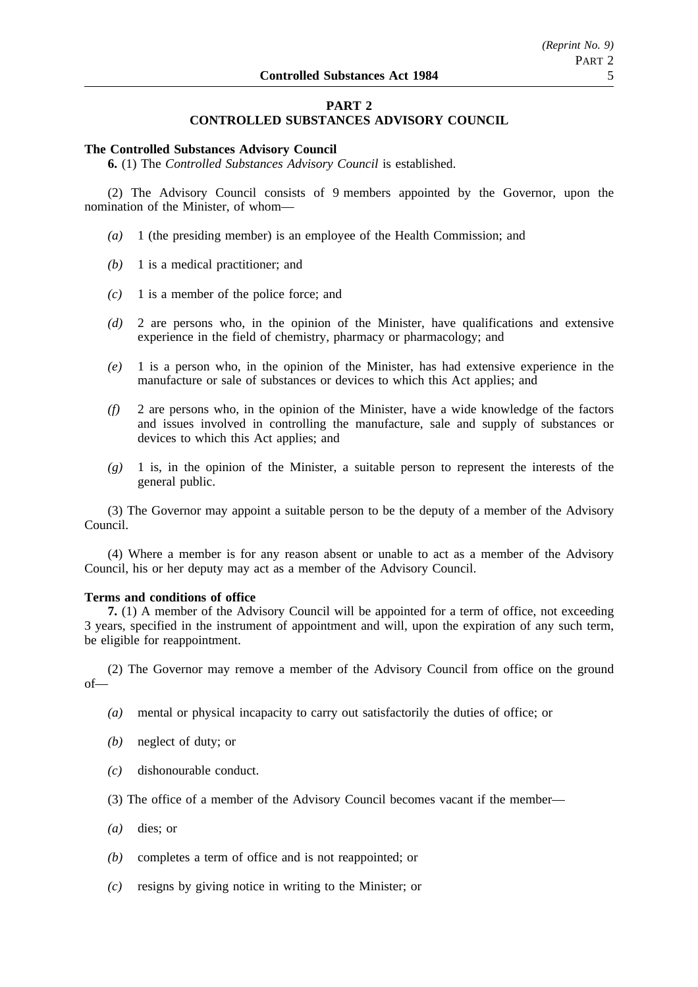# **PART 2**

# **CONTROLLED SUBSTANCES ADVISORY COUNCIL**

#### **The Controlled Substances Advisory Council**

**6.** (1) The *Controlled Substances Advisory Council* is established.

(2) The Advisory Council consists of 9 members appointed by the Governor, upon the nomination of the Minister, of whom—

- *(a)* 1 (the presiding member) is an employee of the Health Commission; and
- *(b)* 1 is a medical practitioner; and
- *(c)* 1 is a member of the police force; and
- *(d)* 2 are persons who, in the opinion of the Minister, have qualifications and extensive experience in the field of chemistry, pharmacy or pharmacology; and
- *(e)* 1 is a person who, in the opinion of the Minister, has had extensive experience in the manufacture or sale of substances or devices to which this Act applies; and
- *(f)* 2 are persons who, in the opinion of the Minister, have a wide knowledge of the factors and issues involved in controlling the manufacture, sale and supply of substances or devices to which this Act applies; and
- *(g)* 1 is, in the opinion of the Minister, a suitable person to represent the interests of the general public.

(3) The Governor may appoint a suitable person to be the deputy of a member of the Advisory Council.

(4) Where a member is for any reason absent or unable to act as a member of the Advisory Council, his or her deputy may act as a member of the Advisory Council.

## **Terms and conditions of office**

**7.** (1) A member of the Advisory Council will be appointed for a term of office, not exceeding 3 years, specified in the instrument of appointment and will, upon the expiration of any such term, be eligible for reappointment.

(2) The Governor may remove a member of the Advisory Council from office on the ground of—

- *(a)* mental or physical incapacity to carry out satisfactorily the duties of office; or
- *(b)* neglect of duty; or
- *(c)* dishonourable conduct.
- (3) The office of a member of the Advisory Council becomes vacant if the member—
- *(a)* dies; or
- *(b)* completes a term of office and is not reappointed; or
- *(c)* resigns by giving notice in writing to the Minister; or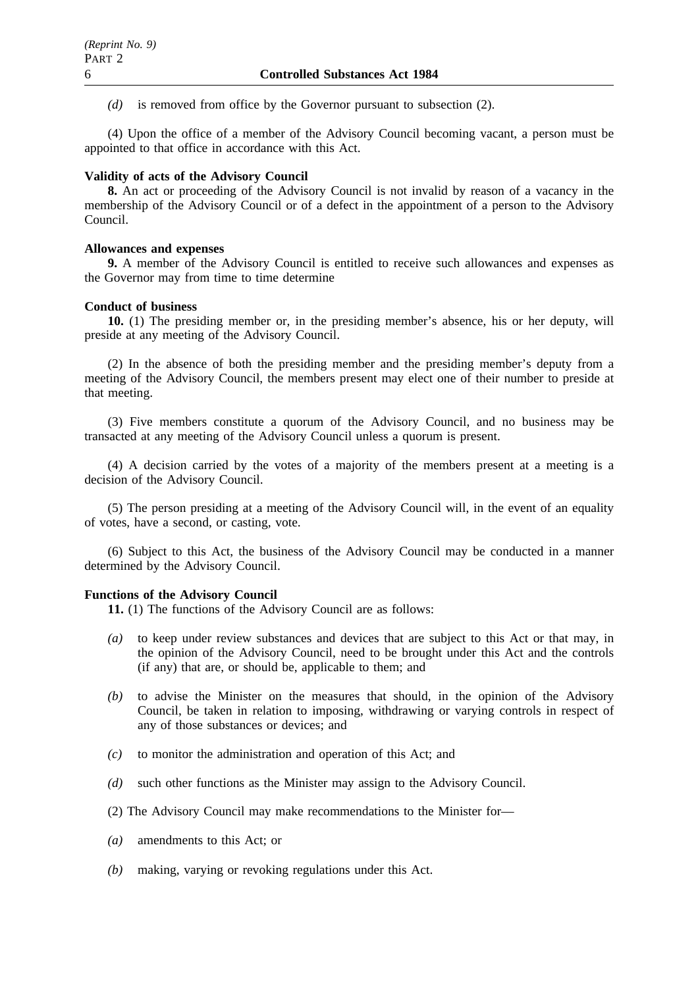*(d)* is removed from office by the Governor pursuant to subsection (2).

(4) Upon the office of a member of the Advisory Council becoming vacant, a person must be appointed to that office in accordance with this Act.

### **Validity of acts of the Advisory Council**

**8.** An act or proceeding of the Advisory Council is not invalid by reason of a vacancy in the membership of the Advisory Council or of a defect in the appointment of a person to the Advisory Council.

#### **Allowances and expenses**

**9.** A member of the Advisory Council is entitled to receive such allowances and expenses as the Governor may from time to time determine

#### **Conduct of business**

**10.** (1) The presiding member or, in the presiding member's absence, his or her deputy, will preside at any meeting of the Advisory Council.

(2) In the absence of both the presiding member and the presiding member's deputy from a meeting of the Advisory Council, the members present may elect one of their number to preside at that meeting.

(3) Five members constitute a quorum of the Advisory Council, and no business may be transacted at any meeting of the Advisory Council unless a quorum is present.

(4) A decision carried by the votes of a majority of the members present at a meeting is a decision of the Advisory Council.

(5) The person presiding at a meeting of the Advisory Council will, in the event of an equality of votes, have a second, or casting, vote.

(6) Subject to this Act, the business of the Advisory Council may be conducted in a manner determined by the Advisory Council.

#### **Functions of the Advisory Council**

**11.** (1) The functions of the Advisory Council are as follows:

- *(a)* to keep under review substances and devices that are subject to this Act or that may, in the opinion of the Advisory Council, need to be brought under this Act and the controls (if any) that are, or should be, applicable to them; and
- *(b)* to advise the Minister on the measures that should, in the opinion of the Advisory Council, be taken in relation to imposing, withdrawing or varying controls in respect of any of those substances or devices; and
- *(c)* to monitor the administration and operation of this Act; and
- *(d)* such other functions as the Minister may assign to the Advisory Council.
- (2) The Advisory Council may make recommendations to the Minister for—
- *(a)* amendments to this Act; or
- *(b)* making, varying or revoking regulations under this Act.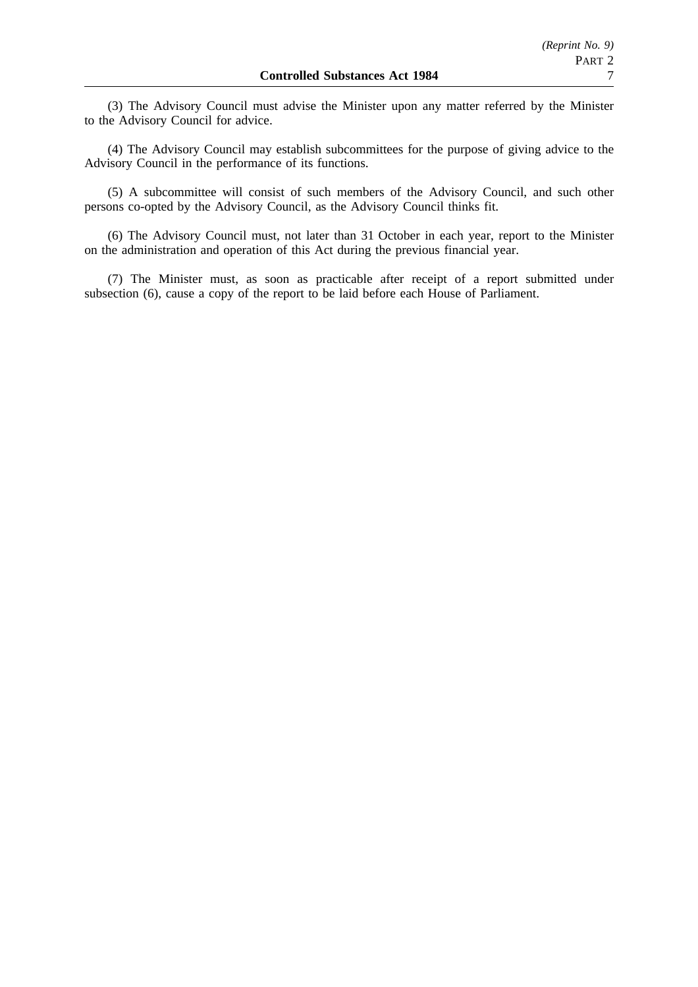(3) The Advisory Council must advise the Minister upon any matter referred by the Minister to the Advisory Council for advice.

(4) The Advisory Council may establish subcommittees for the purpose of giving advice to the Advisory Council in the performance of its functions.

(5) A subcommittee will consist of such members of the Advisory Council, and such other persons co-opted by the Advisory Council, as the Advisory Council thinks fit.

(6) The Advisory Council must, not later than 31 October in each year, report to the Minister on the administration and operation of this Act during the previous financial year.

(7) The Minister must, as soon as practicable after receipt of a report submitted under subsection (6), cause a copy of the report to be laid before each House of Parliament.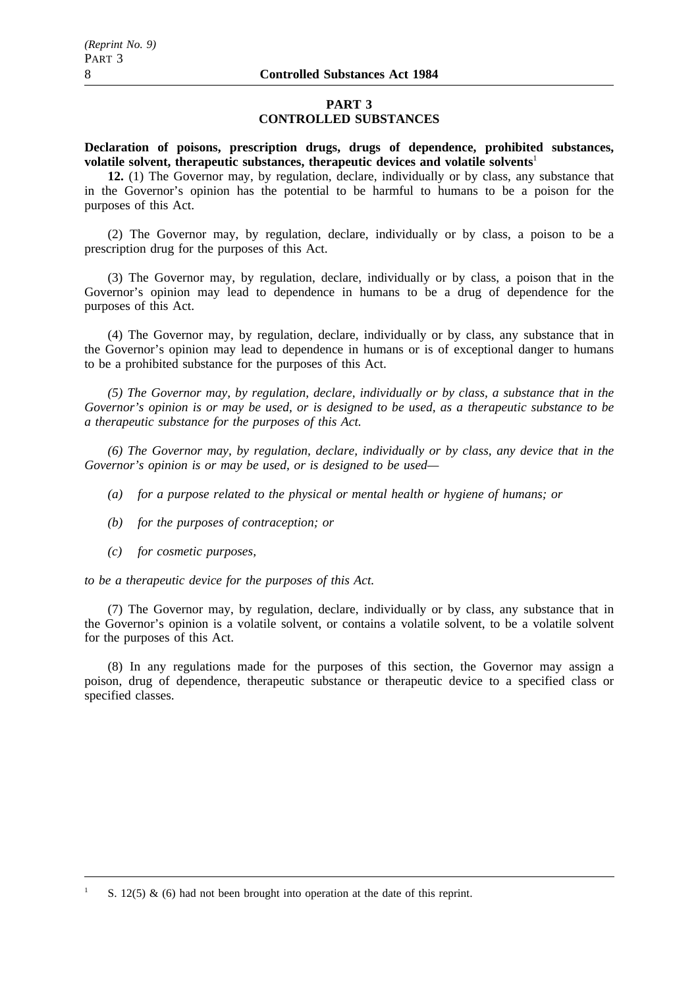## **PART 3 CONTROLLED SUBSTANCES**

**Declaration of poisons, prescription drugs, drugs of dependence, prohibited substances, volatile solvent, therapeutic substances, therapeutic devices and volatile solvents**<sup>1</sup>

**12.** (1) The Governor may, by regulation, declare, individually or by class, any substance that in the Governor's opinion has the potential to be harmful to humans to be a poison for the purposes of this Act.

(2) The Governor may, by regulation, declare, individually or by class, a poison to be a prescription drug for the purposes of this Act.

(3) The Governor may, by regulation, declare, individually or by class, a poison that in the Governor's opinion may lead to dependence in humans to be a drug of dependence for the purposes of this Act.

(4) The Governor may, by regulation, declare, individually or by class, any substance that in the Governor's opinion may lead to dependence in humans or is of exceptional danger to humans to be a prohibited substance for the purposes of this Act.

*(5) The Governor may, by regulation, declare, individually or by class, a substance that in the Governor's opinion is or may be used, or is designed to be used, as a therapeutic substance to be a therapeutic substance for the purposes of this Act.*

*(6) The Governor may, by regulation, declare, individually or by class, any device that in the Governor's opinion is or may be used, or is designed to be used—*

- *(a) for a purpose related to the physical or mental health or hygiene of humans; or*
- *(b) for the purposes of contraception; or*
- *(c) for cosmetic purposes,*

*to be a therapeutic device for the purposes of this Act.*

(7) The Governor may, by regulation, declare, individually or by class, any substance that in the Governor's opinion is a volatile solvent, or contains a volatile solvent, to be a volatile solvent for the purposes of this Act.

(8) In any regulations made for the purposes of this section, the Governor may assign a poison, drug of dependence, therapeutic substance or therapeutic device to a specified class or specified classes.

S. 12(5)  $\&$  (6) had not been brought into operation at the date of this reprint.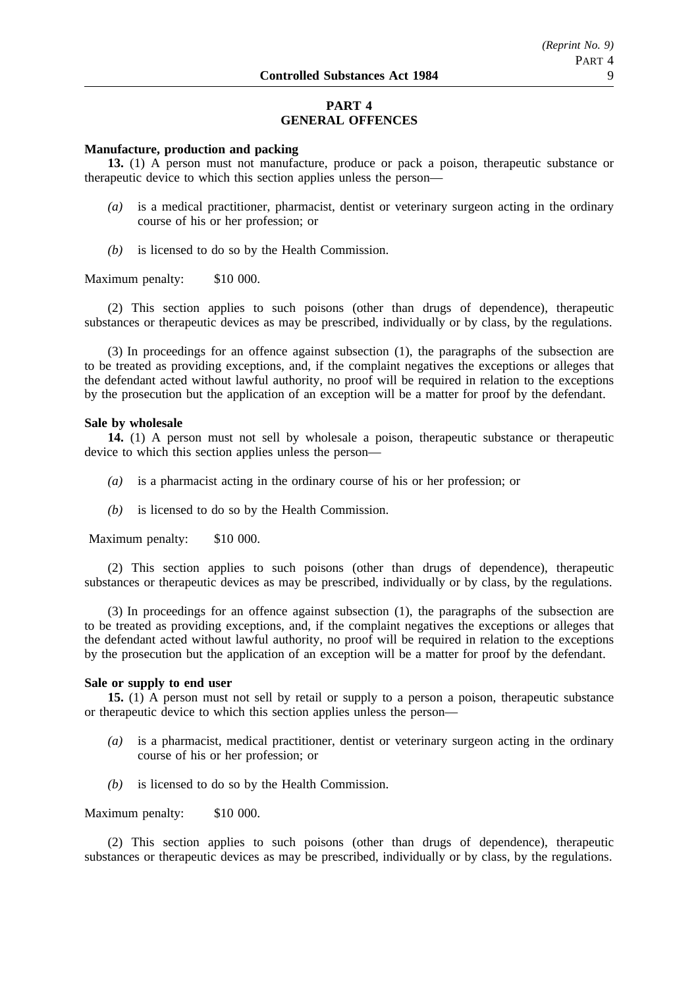# **PART 4 GENERAL OFFENCES**

## **Manufacture, production and packing**

**13.** (1) A person must not manufacture, produce or pack a poison, therapeutic substance or therapeutic device to which this section applies unless the person—

- *(a)* is a medical practitioner, pharmacist, dentist or veterinary surgeon acting in the ordinary course of his or her profession; or
- *(b)* is licensed to do so by the Health Commission.

Maximum penalty: \$10 000.

(2) This section applies to such poisons (other than drugs of dependence), therapeutic substances or therapeutic devices as may be prescribed, individually or by class, by the regulations.

(3) In proceedings for an offence against subsection (1), the paragraphs of the subsection are to be treated as providing exceptions, and, if the complaint negatives the exceptions or alleges that the defendant acted without lawful authority, no proof will be required in relation to the exceptions by the prosecution but the application of an exception will be a matter for proof by the defendant.

#### **Sale by wholesale**

**14.** (1) A person must not sell by wholesale a poison, therapeutic substance or therapeutic device to which this section applies unless the person—

- *(a)* is a pharmacist acting in the ordinary course of his or her profession; or
- *(b)* is licensed to do so by the Health Commission.

Maximum penalty: \$10 000.

(2) This section applies to such poisons (other than drugs of dependence), therapeutic substances or therapeutic devices as may be prescribed, individually or by class, by the regulations.

(3) In proceedings for an offence against subsection (1), the paragraphs of the subsection are to be treated as providing exceptions, and, if the complaint negatives the exceptions or alleges that the defendant acted without lawful authority, no proof will be required in relation to the exceptions by the prosecution but the application of an exception will be a matter for proof by the defendant.

#### **Sale or supply to end user**

**15.** (1) A person must not sell by retail or supply to a person a poison, therapeutic substance or therapeutic device to which this section applies unless the person—

- *(a)* is a pharmacist, medical practitioner, dentist or veterinary surgeon acting in the ordinary course of his or her profession; or
- *(b)* is licensed to do so by the Health Commission.

## Maximum penalty: \$10 000.

(2) This section applies to such poisons (other than drugs of dependence), therapeutic substances or therapeutic devices as may be prescribed, individually or by class, by the regulations.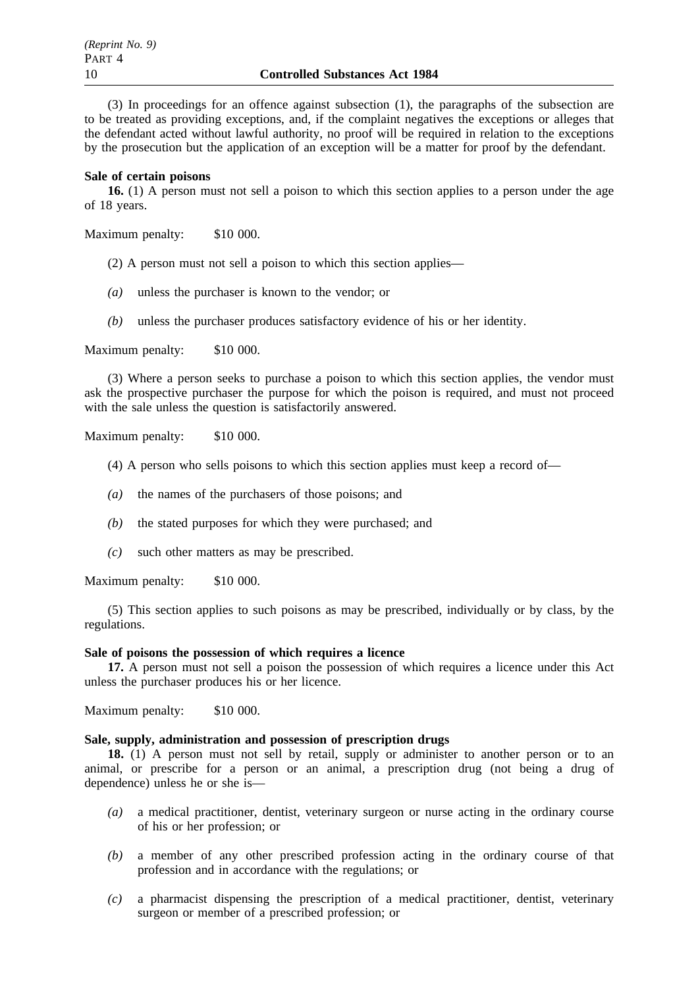(3) In proceedings for an offence against subsection (1), the paragraphs of the subsection are to be treated as providing exceptions, and, if the complaint negatives the exceptions or alleges that the defendant acted without lawful authority, no proof will be required in relation to the exceptions by the prosecution but the application of an exception will be a matter for proof by the defendant.

#### **Sale of certain poisons**

**16.** (1) A person must not sell a poison to which this section applies to a person under the age of 18 years.

Maximum penalty: \$10 000.

(2) A person must not sell a poison to which this section applies—

- *(a)* unless the purchaser is known to the vendor; or
- *(b)* unless the purchaser produces satisfactory evidence of his or her identity.

Maximum penalty: \$10 000.

(3) Where a person seeks to purchase a poison to which this section applies, the vendor must ask the prospective purchaser the purpose for which the poison is required, and must not proceed with the sale unless the question is satisfactorily answered.

Maximum penalty: \$10 000.

- (4) A person who sells poisons to which this section applies must keep a record of—
- *(a)* the names of the purchasers of those poisons; and
- *(b)* the stated purposes for which they were purchased; and
- *(c)* such other matters as may be prescribed.

Maximum penalty: \$10 000.

(5) This section applies to such poisons as may be prescribed, individually or by class, by the regulations.

## **Sale of poisons the possession of which requires a licence**

**17.** A person must not sell a poison the possession of which requires a licence under this Act unless the purchaser produces his or her licence.

Maximum penalty: \$10 000.

## **Sale, supply, administration and possession of prescription drugs**

**18.** (1) A person must not sell by retail, supply or administer to another person or to an animal, or prescribe for a person or an animal, a prescription drug (not being a drug of dependence) unless he or she is—

- *(a)* a medical practitioner, dentist, veterinary surgeon or nurse acting in the ordinary course of his or her profession; or
- *(b)* a member of any other prescribed profession acting in the ordinary course of that profession and in accordance with the regulations; or
- *(c)* a pharmacist dispensing the prescription of a medical practitioner, dentist, veterinary surgeon or member of a prescribed profession; or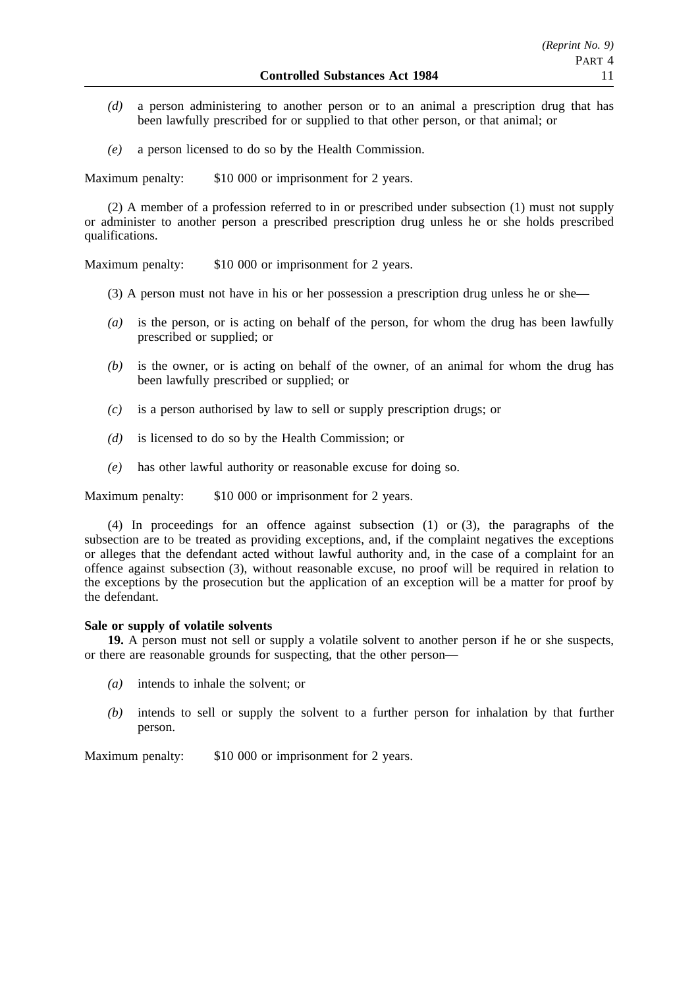- *(d)* a person administering to another person or to an animal a prescription drug that has been lawfully prescribed for or supplied to that other person, or that animal; or
- *(e)* a person licensed to do so by the Health Commission.

Maximum penalty: \$10 000 or imprisonment for 2 years.

(2) A member of a profession referred to in or prescribed under subsection (1) must not supply or administer to another person a prescribed prescription drug unless he or she holds prescribed qualifications.

Maximum penalty: \$10 000 or imprisonment for 2 years.

- (3) A person must not have in his or her possession a prescription drug unless he or she—
- *(a)* is the person, or is acting on behalf of the person, for whom the drug has been lawfully prescribed or supplied; or
- *(b)* is the owner, or is acting on behalf of the owner, of an animal for whom the drug has been lawfully prescribed or supplied; or
- *(c)* is a person authorised by law to sell or supply prescription drugs; or
- *(d)* is licensed to do so by the Health Commission; or
- *(e)* has other lawful authority or reasonable excuse for doing so.

Maximum penalty: \$10 000 or imprisonment for 2 years.

(4) In proceedings for an offence against subsection (1) or (3), the paragraphs of the subsection are to be treated as providing exceptions, and, if the complaint negatives the exceptions or alleges that the defendant acted without lawful authority and, in the case of a complaint for an offence against subsection (3), without reasonable excuse, no proof will be required in relation to the exceptions by the prosecution but the application of an exception will be a matter for proof by the defendant.

## **Sale or supply of volatile solvents**

**19.** A person must not sell or supply a volatile solvent to another person if he or she suspects, or there are reasonable grounds for suspecting, that the other person—

- *(a)* intends to inhale the solvent; or
- *(b)* intends to sell or supply the solvent to a further person for inhalation by that further person.

Maximum penalty: \$10 000 or imprisonment for 2 years.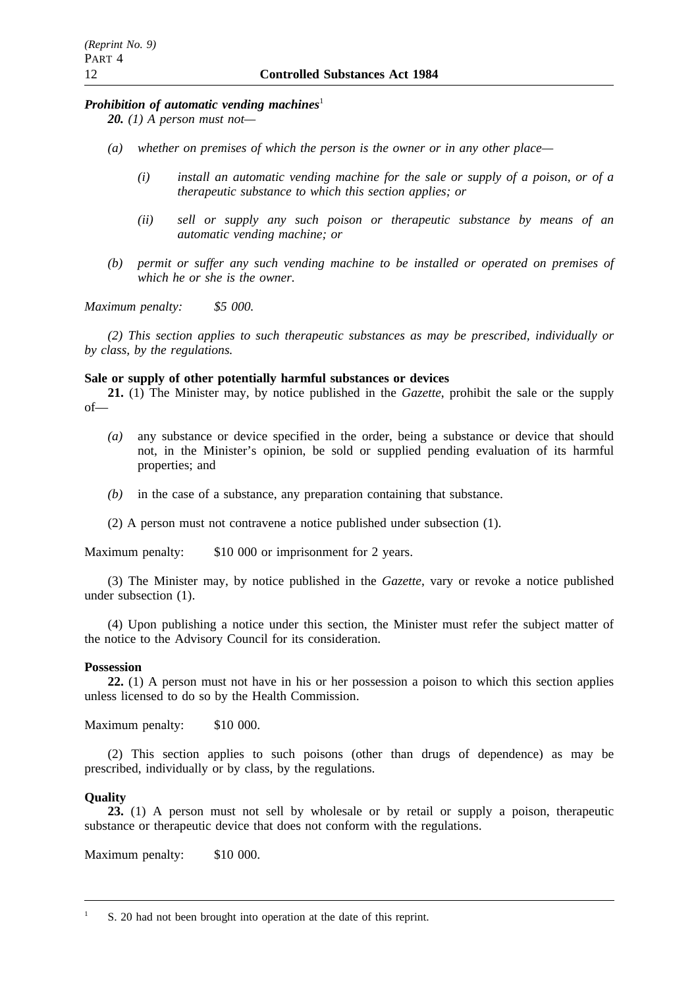## *Prohibition of automatic vending machines*<sup>1</sup>

*20. (1) A person must not—*

- *(a) whether on premises of which the person is the owner or in any other place—*
	- *(i) install an automatic vending machine for the sale or supply of a poison, or of a therapeutic substance to which this section applies; or*
	- *(ii) sell or supply any such poison or therapeutic substance by means of an automatic vending machine; or*
- *(b) permit or suffer any such vending machine to be installed or operated on premises of which he or she is the owner.*

*Maximum penalty: \$5 000.*

*(2) This section applies to such therapeutic substances as may be prescribed, individually or by class, by the regulations.*

## **Sale or supply of other potentially harmful substances or devices**

**21.** (1) The Minister may, by notice published in the *Gazette*, prohibit the sale or the supply of—

- *(a)* any substance or device specified in the order, being a substance or device that should not, in the Minister's opinion, be sold or supplied pending evaluation of its harmful properties; and
- *(b)* in the case of a substance, any preparation containing that substance.
- (2) A person must not contravene a notice published under subsection (1).

Maximum penalty: \$10 000 or imprisonment for 2 years.

(3) The Minister may, by notice published in the *Gazette*, vary or revoke a notice published under subsection (1).

(4) Upon publishing a notice under this section, the Minister must refer the subject matter of the notice to the Advisory Council for its consideration.

## **Possession**

**22.** (1) A person must not have in his or her possession a poison to which this section applies unless licensed to do so by the Health Commission.

Maximum penalty: \$10 000.

(2) This section applies to such poisons (other than drugs of dependence) as may be prescribed, individually or by class, by the regulations.

## **Quality**

**23.** (1) A person must not sell by wholesale or by retail or supply a poison, therapeutic substance or therapeutic device that does not conform with the regulations.

Maximum penalty: \$10 000.

<sup>1</sup> S. 20 had not been brought into operation at the date of this reprint.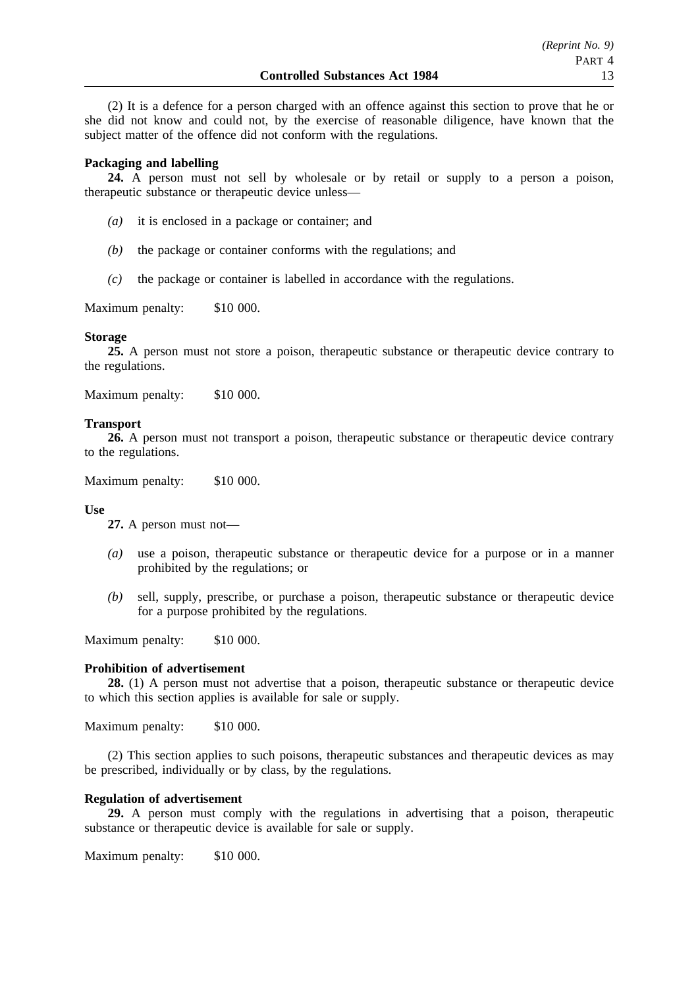(2) It is a defence for a person charged with an offence against this section to prove that he or she did not know and could not, by the exercise of reasonable diligence, have known that the subject matter of the offence did not conform with the regulations.

# **Packaging and labelling**

**24.** A person must not sell by wholesale or by retail or supply to a person a poison, therapeutic substance or therapeutic device unless—

- *(a)* it is enclosed in a package or container; and
- *(b)* the package or container conforms with the regulations; and
- *(c)* the package or container is labelled in accordance with the regulations.

Maximum penalty: \$10 000.

## **Storage**

**25.** A person must not store a poison, therapeutic substance or therapeutic device contrary to the regulations.

Maximum penalty: \$10 000.

# **Transport**

26. A person must not transport a poison, therapeutic substance or therapeutic device contrary to the regulations.

Maximum penalty: \$10 000.

## **Use**

**27.** A person must not—

- *(a)* use a poison, therapeutic substance or therapeutic device for a purpose or in a manner prohibited by the regulations; or
- *(b)* sell, supply, prescribe, or purchase a poison, therapeutic substance or therapeutic device for a purpose prohibited by the regulations.

Maximum penalty: \$10 000.

## **Prohibition of advertisement**

**28.** (1) A person must not advertise that a poison, therapeutic substance or therapeutic device to which this section applies is available for sale or supply.

Maximum penalty: \$10 000.

(2) This section applies to such poisons, therapeutic substances and therapeutic devices as may be prescribed, individually or by class, by the regulations.

## **Regulation of advertisement**

**29.** A person must comply with the regulations in advertising that a poison, therapeutic substance or therapeutic device is available for sale or supply.

Maximum penalty: \$10 000.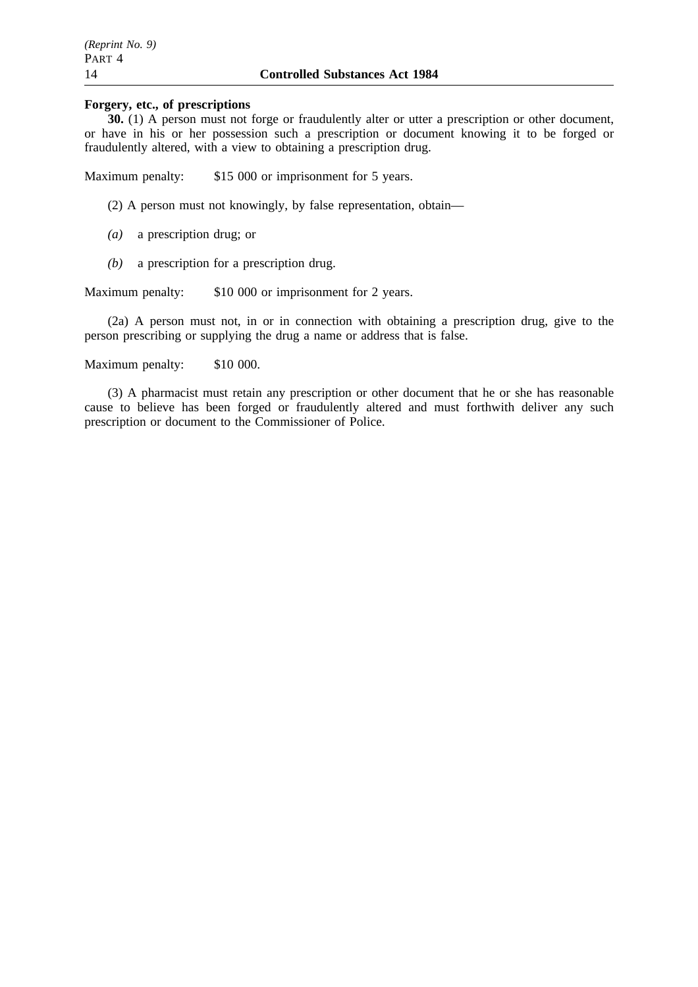# **Forgery, etc., of prescriptions**

**30.** (1) A person must not forge or fraudulently alter or utter a prescription or other document, or have in his or her possession such a prescription or document knowing it to be forged or fraudulently altered, with a view to obtaining a prescription drug.

Maximum penalty: \$15 000 or imprisonment for 5 years.

(2) A person must not knowingly, by false representation, obtain—

- *(a)* a prescription drug; or
- *(b)* a prescription for a prescription drug.

Maximum penalty: \$10 000 or imprisonment for 2 years.

(2a) A person must not, in or in connection with obtaining a prescription drug, give to the person prescribing or supplying the drug a name or address that is false.

Maximum penalty: \$10 000.

(3) A pharmacist must retain any prescription or other document that he or she has reasonable cause to believe has been forged or fraudulently altered and must forthwith deliver any such prescription or document to the Commissioner of Police.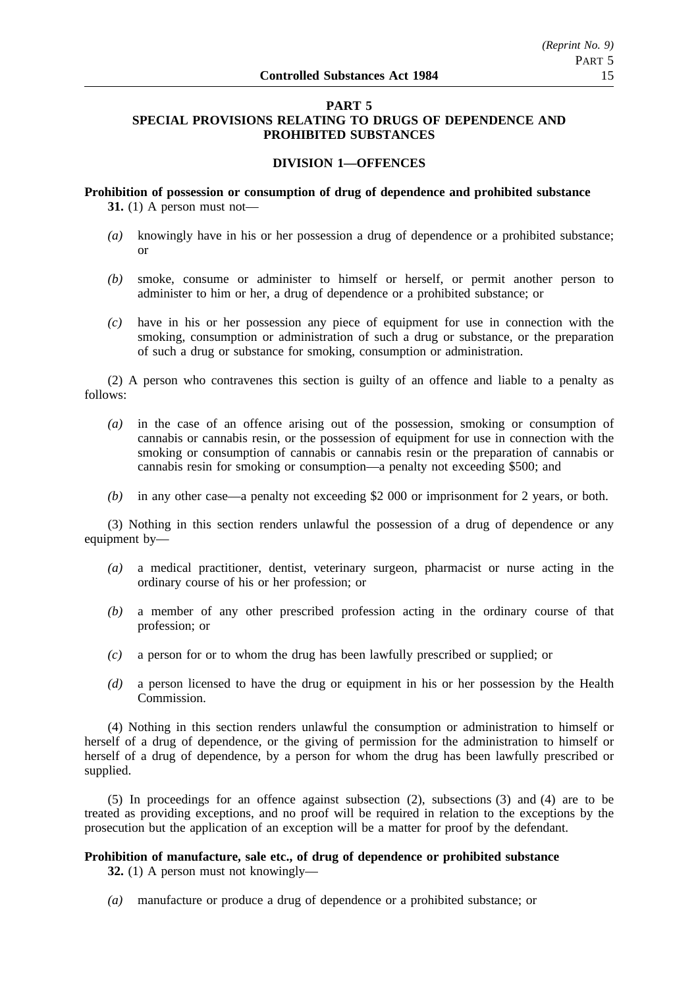# **PART 5 SPECIAL PROVISIONS RELATING TO DRUGS OF DEPENDENCE AND PROHIBITED SUBSTANCES**

# **DIVISION 1—OFFENCES**

**Prohibition of possession or consumption of drug of dependence and prohibited substance 31.** (1) A person must not—

- *(a)* knowingly have in his or her possession a drug of dependence or a prohibited substance; or
- *(b)* smoke, consume or administer to himself or herself, or permit another person to administer to him or her, a drug of dependence or a prohibited substance; or
- *(c)* have in his or her possession any piece of equipment for use in connection with the smoking, consumption or administration of such a drug or substance, or the preparation of such a drug or substance for smoking, consumption or administration.

(2) A person who contravenes this section is guilty of an offence and liable to a penalty as follows:

- *(a)* in the case of an offence arising out of the possession, smoking or consumption of cannabis or cannabis resin, or the possession of equipment for use in connection with the smoking or consumption of cannabis or cannabis resin or the preparation of cannabis or cannabis resin for smoking or consumption—a penalty not exceeding \$500; and
- *(b)* in any other case—a penalty not exceeding \$2 000 or imprisonment for 2 years, or both.

(3) Nothing in this section renders unlawful the possession of a drug of dependence or any equipment by—

- *(a)* a medical practitioner, dentist, veterinary surgeon, pharmacist or nurse acting in the ordinary course of his or her profession; or
- *(b)* a member of any other prescribed profession acting in the ordinary course of that profession; or
- *(c)* a person for or to whom the drug has been lawfully prescribed or supplied; or
- *(d)* a person licensed to have the drug or equipment in his or her possession by the Health Commission.

(4) Nothing in this section renders unlawful the consumption or administration to himself or herself of a drug of dependence, or the giving of permission for the administration to himself or herself of a drug of dependence, by a person for whom the drug has been lawfully prescribed or supplied.

(5) In proceedings for an offence against subsection (2), subsections (3) and (4) are to be treated as providing exceptions, and no proof will be required in relation to the exceptions by the prosecution but the application of an exception will be a matter for proof by the defendant.

## **Prohibition of manufacture, sale etc., of drug of dependence or prohibited substance 32.** (1) A person must not knowingly—

*(a)* manufacture or produce a drug of dependence or a prohibited substance; or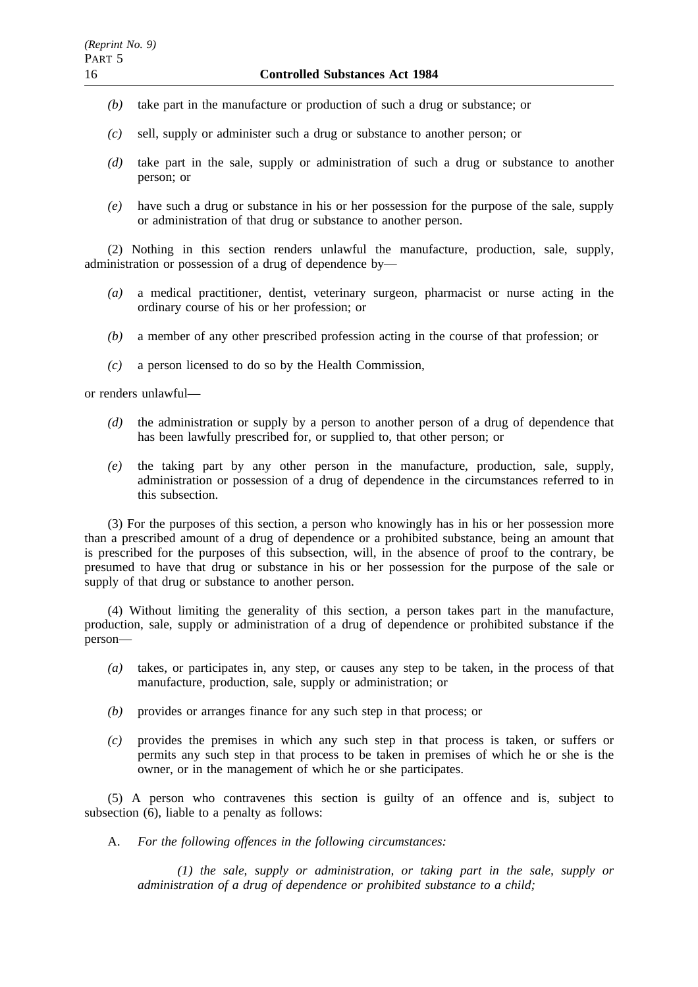- *(b)* take part in the manufacture or production of such a drug or substance; or
- *(c)* sell, supply or administer such a drug or substance to another person; or
- *(d)* take part in the sale, supply or administration of such a drug or substance to another person; or
- *(e)* have such a drug or substance in his or her possession for the purpose of the sale, supply or administration of that drug or substance to another person.

(2) Nothing in this section renders unlawful the manufacture, production, sale, supply, administration or possession of a drug of dependence by—

- *(a)* a medical practitioner, dentist, veterinary surgeon, pharmacist or nurse acting in the ordinary course of his or her profession; or
- *(b)* a member of any other prescribed profession acting in the course of that profession; or
- *(c)* a person licensed to do so by the Health Commission,

or renders unlawful—

- *(d)* the administration or supply by a person to another person of a drug of dependence that has been lawfully prescribed for, or supplied to, that other person; or
- *(e)* the taking part by any other person in the manufacture, production, sale, supply, administration or possession of a drug of dependence in the circumstances referred to in this subsection.

(3) For the purposes of this section, a person who knowingly has in his or her possession more than a prescribed amount of a drug of dependence or a prohibited substance, being an amount that is prescribed for the purposes of this subsection, will, in the absence of proof to the contrary, be presumed to have that drug or substance in his or her possession for the purpose of the sale or supply of that drug or substance to another person.

(4) Without limiting the generality of this section, a person takes part in the manufacture, production, sale, supply or administration of a drug of dependence or prohibited substance if the person—

- *(a)* takes, or participates in, any step, or causes any step to be taken, in the process of that manufacture, production, sale, supply or administration; or
- *(b)* provides or arranges finance for any such step in that process; or
- *(c)* provides the premises in which any such step in that process is taken, or suffers or permits any such step in that process to be taken in premises of which he or she is the owner, or in the management of which he or she participates.

(5) A person who contravenes this section is guilty of an offence and is, subject to subsection (6), liable to a penalty as follows:

A. *For the following offences in the following circumstances:*

*(1) the sale, supply or administration, or taking part in the sale, supply or administration of a drug of dependence or prohibited substance to a child;*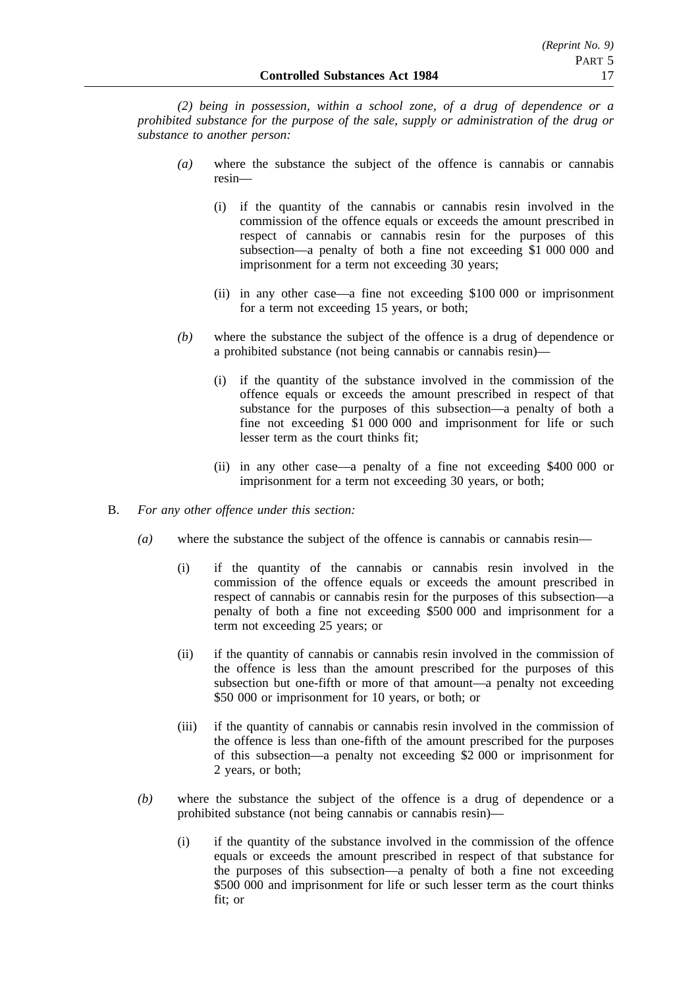*(2) being in possession, within a school zone, of a drug of dependence or a prohibited substance for the purpose of the sale, supply or administration of the drug or substance to another person:*

- *(a)* where the substance the subject of the offence is cannabis or cannabis resin—
	- (i) if the quantity of the cannabis or cannabis resin involved in the commission of the offence equals or exceeds the amount prescribed in respect of cannabis or cannabis resin for the purposes of this subsection—a penalty of both a fine not exceeding \$1 000 000 and imprisonment for a term not exceeding 30 years;
	- (ii) in any other case—a fine not exceeding \$100 000 or imprisonment for a term not exceeding 15 years, or both;
- *(b)* where the substance the subject of the offence is a drug of dependence or a prohibited substance (not being cannabis or cannabis resin)—
	- (i) if the quantity of the substance involved in the commission of the offence equals or exceeds the amount prescribed in respect of that substance for the purposes of this subsection—a penalty of both a fine not exceeding \$1 000 000 and imprisonment for life or such lesser term as the court thinks fit;
	- (ii) in any other case—a penalty of a fine not exceeding \$400 000 or imprisonment for a term not exceeding 30 years, or both;
- B. *For any other offence under this section:*
	- *(a)* where the substance the subject of the offence is cannabis or cannabis resin—
		- (i) if the quantity of the cannabis or cannabis resin involved in the commission of the offence equals or exceeds the amount prescribed in respect of cannabis or cannabis resin for the purposes of this subsection—a penalty of both a fine not exceeding \$500 000 and imprisonment for a term not exceeding 25 years; or
		- (ii) if the quantity of cannabis or cannabis resin involved in the commission of the offence is less than the amount prescribed for the purposes of this subsection but one-fifth or more of that amount—a penalty not exceeding \$50 000 or imprisonment for 10 years, or both; or
		- (iii) if the quantity of cannabis or cannabis resin involved in the commission of the offence is less than one-fifth of the amount prescribed for the purposes of this subsection—a penalty not exceeding \$2 000 or imprisonment for 2 years, or both;
	- *(b)* where the substance the subject of the offence is a drug of dependence or a prohibited substance (not being cannabis or cannabis resin)—
		- (i) if the quantity of the substance involved in the commission of the offence equals or exceeds the amount prescribed in respect of that substance for the purposes of this subsection—a penalty of both a fine not exceeding \$500 000 and imprisonment for life or such lesser term as the court thinks fit; or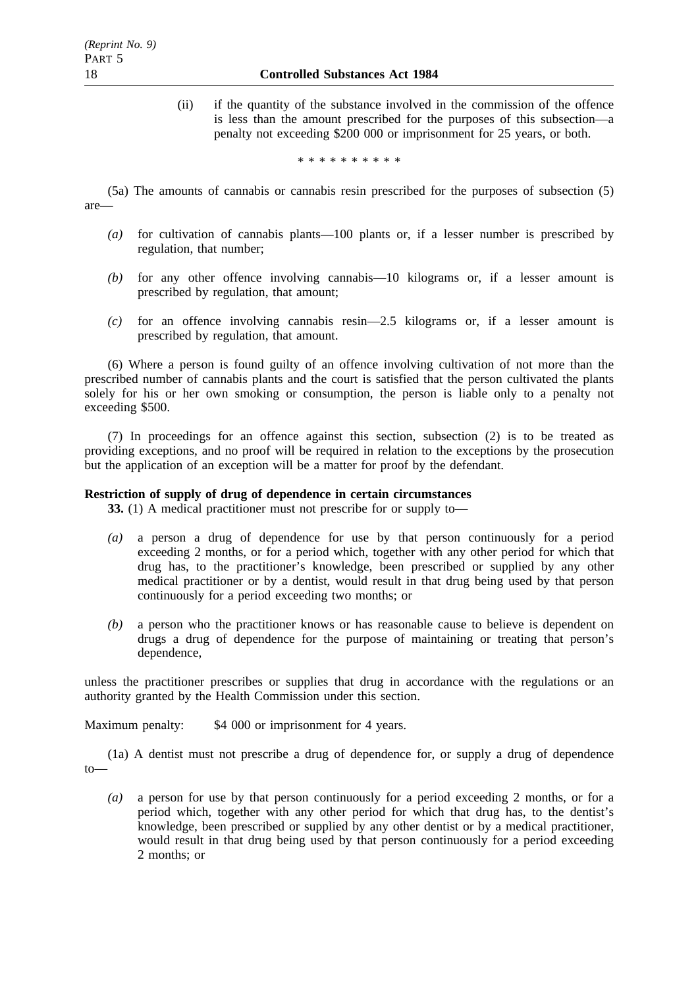(ii) if the quantity of the substance involved in the commission of the offence is less than the amount prescribed for the purposes of this subsection—a penalty not exceeding \$200 000 or imprisonment for 25 years, or both.

\*\*\*\*\*\*\*\*\*\*

(5a) The amounts of cannabis or cannabis resin prescribed for the purposes of subsection (5) are—

- *(a)* for cultivation of cannabis plants—100 plants or, if a lesser number is prescribed by regulation, that number;
- *(b)* for any other offence involving cannabis—10 kilograms or, if a lesser amount is prescribed by regulation, that amount;
- *(c)* for an offence involving cannabis resin—2.5 kilograms or, if a lesser amount is prescribed by regulation, that amount.

(6) Where a person is found guilty of an offence involving cultivation of not more than the prescribed number of cannabis plants and the court is satisfied that the person cultivated the plants solely for his or her own smoking or consumption, the person is liable only to a penalty not exceeding \$500.

(7) In proceedings for an offence against this section, subsection (2) is to be treated as providing exceptions, and no proof will be required in relation to the exceptions by the prosecution but the application of an exception will be a matter for proof by the defendant.

## **Restriction of supply of drug of dependence in certain circumstances**

**33.** (1) A medical practitioner must not prescribe for or supply to—

- *(a)* a person a drug of dependence for use by that person continuously for a period exceeding 2 months, or for a period which, together with any other period for which that drug has, to the practitioner's knowledge, been prescribed or supplied by any other medical practitioner or by a dentist, would result in that drug being used by that person continuously for a period exceeding two months; or
- *(b)* a person who the practitioner knows or has reasonable cause to believe is dependent on drugs a drug of dependence for the purpose of maintaining or treating that person's dependence,

unless the practitioner prescribes or supplies that drug in accordance with the regulations or an authority granted by the Health Commission under this section.

Maximum penalty: \$4 000 or imprisonment for 4 years.

(1a) A dentist must not prescribe a drug of dependence for, or supply a drug of dependence to—

*(a)* a person for use by that person continuously for a period exceeding 2 months, or for a period which, together with any other period for which that drug has, to the dentist's knowledge, been prescribed or supplied by any other dentist or by a medical practitioner, would result in that drug being used by that person continuously for a period exceeding 2 months; or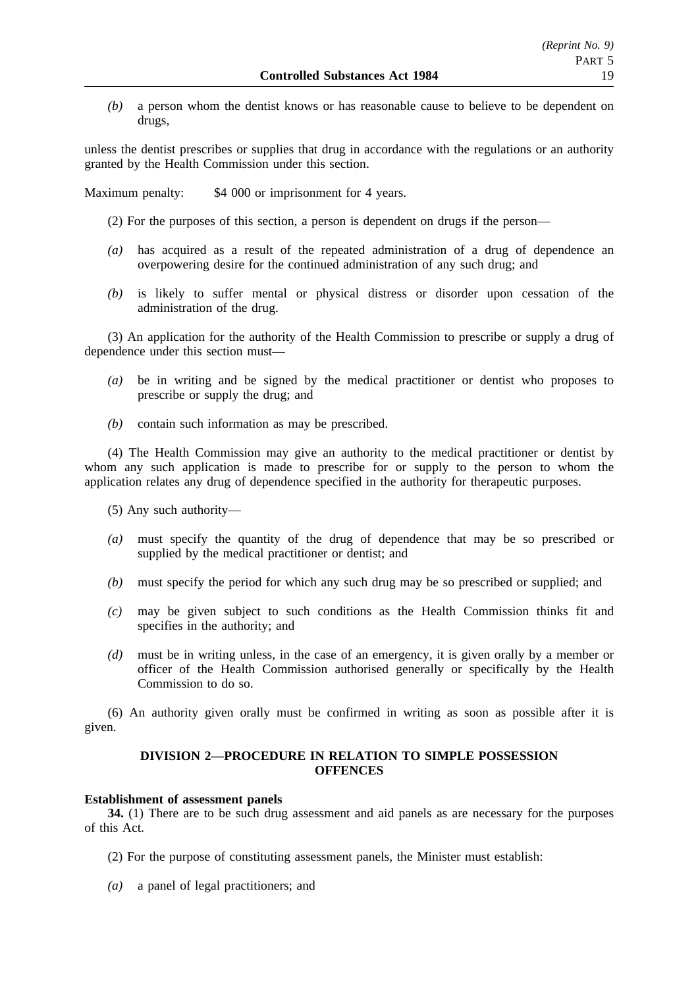*(b)* a person whom the dentist knows or has reasonable cause to believe to be dependent on drugs,

unless the dentist prescribes or supplies that drug in accordance with the regulations or an authority granted by the Health Commission under this section.

Maximum penalty: \$4 000 or imprisonment for 4 years.

- (2) For the purposes of this section, a person is dependent on drugs if the person—
- *(a)* has acquired as a result of the repeated administration of a drug of dependence an overpowering desire for the continued administration of any such drug; and
- *(b)* is likely to suffer mental or physical distress or disorder upon cessation of the administration of the drug.

(3) An application for the authority of the Health Commission to prescribe or supply a drug of dependence under this section must—

- *(a)* be in writing and be signed by the medical practitioner or dentist who proposes to prescribe or supply the drug; and
- *(b)* contain such information as may be prescribed.

(4) The Health Commission may give an authority to the medical practitioner or dentist by whom any such application is made to prescribe for or supply to the person to whom the application relates any drug of dependence specified in the authority for therapeutic purposes.

(5) Any such authority—

- *(a)* must specify the quantity of the drug of dependence that may be so prescribed or supplied by the medical practitioner or dentist; and
- *(b)* must specify the period for which any such drug may be so prescribed or supplied; and
- *(c)* may be given subject to such conditions as the Health Commission thinks fit and specifies in the authority; and
- *(d)* must be in writing unless, in the case of an emergency, it is given orally by a member or officer of the Health Commission authorised generally or specifically by the Health Commission to do so.

(6) An authority given orally must be confirmed in writing as soon as possible after it is given.

# **DIVISION 2—PROCEDURE IN RELATION TO SIMPLE POSSESSION OFFENCES**

## **Establishment of assessment panels**

**34.** (1) There are to be such drug assessment and aid panels as are necessary for the purposes of this Act.

- (2) For the purpose of constituting assessment panels, the Minister must establish:
- *(a)* a panel of legal practitioners; and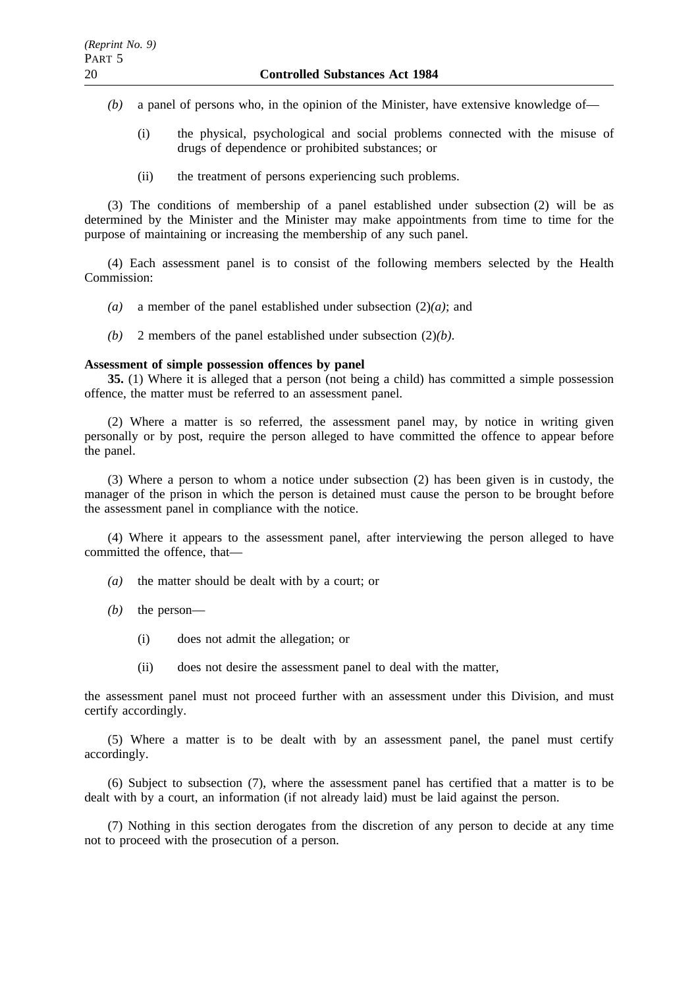- *(b)* a panel of persons who, in the opinion of the Minister, have extensive knowledge of—
	- (i) the physical, psychological and social problems connected with the misuse of drugs of dependence or prohibited substances; or
	- (ii) the treatment of persons experiencing such problems.

(3) The conditions of membership of a panel established under subsection (2) will be as determined by the Minister and the Minister may make appointments from time to time for the purpose of maintaining or increasing the membership of any such panel.

(4) Each assessment panel is to consist of the following members selected by the Health Commission:

- *(a)* a member of the panel established under subsection (2)*(a)*; and
- *(b)* 2 members of the panel established under subsection (2)*(b)*.

#### **Assessment of simple possession offences by panel**

**35.** (1) Where it is alleged that a person (not being a child) has committed a simple possession offence, the matter must be referred to an assessment panel.

(2) Where a matter is so referred, the assessment panel may, by notice in writing given personally or by post, require the person alleged to have committed the offence to appear before the panel.

(3) Where a person to whom a notice under subsection (2) has been given is in custody, the manager of the prison in which the person is detained must cause the person to be brought before the assessment panel in compliance with the notice.

(4) Where it appears to the assessment panel, after interviewing the person alleged to have committed the offence, that—

- *(a)* the matter should be dealt with by a court; or
- *(b)* the person—
	- (i) does not admit the allegation; or
	- (ii) does not desire the assessment panel to deal with the matter,

the assessment panel must not proceed further with an assessment under this Division, and must certify accordingly.

(5) Where a matter is to be dealt with by an assessment panel, the panel must certify accordingly.

(6) Subject to subsection (7), where the assessment panel has certified that a matter is to be dealt with by a court, an information (if not already laid) must be laid against the person.

(7) Nothing in this section derogates from the discretion of any person to decide at any time not to proceed with the prosecution of a person.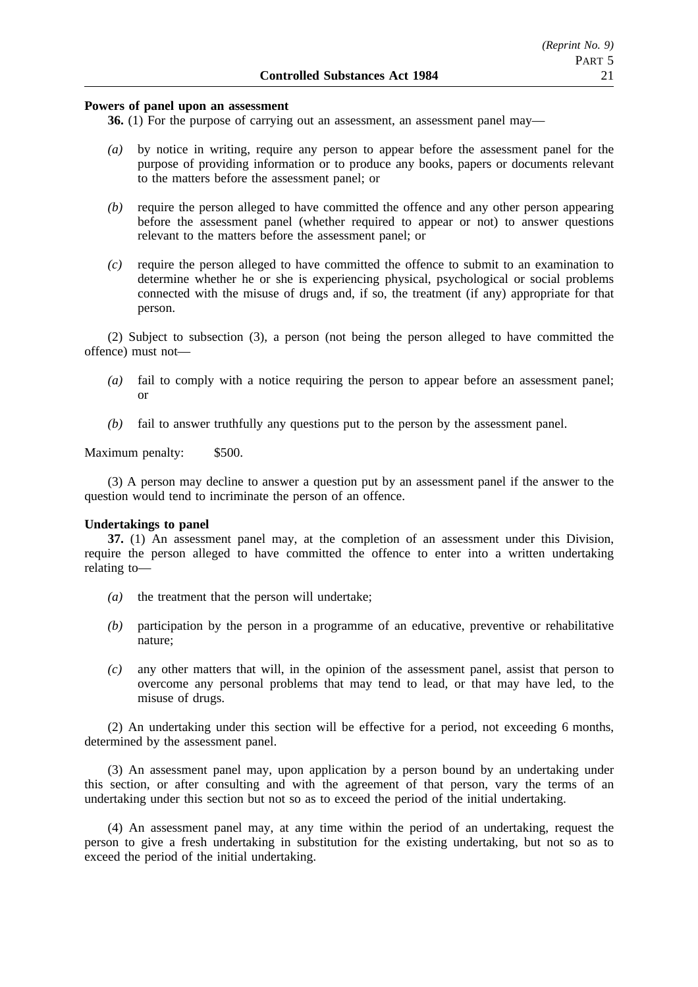## **Powers of panel upon an assessment**

**36.** (1) For the purpose of carrying out an assessment, an assessment panel may—

- *(a)* by notice in writing, require any person to appear before the assessment panel for the purpose of providing information or to produce any books, papers or documents relevant to the matters before the assessment panel; or
- *(b)* require the person alleged to have committed the offence and any other person appearing before the assessment panel (whether required to appear or not) to answer questions relevant to the matters before the assessment panel; or
- *(c)* require the person alleged to have committed the offence to submit to an examination to determine whether he or she is experiencing physical, psychological or social problems connected with the misuse of drugs and, if so, the treatment (if any) appropriate for that person.

(2) Subject to subsection (3), a person (not being the person alleged to have committed the offence) must not—

- *(a)* fail to comply with a notice requiring the person to appear before an assessment panel; or
- *(b)* fail to answer truthfully any questions put to the person by the assessment panel.

Maximum penalty: \$500.

(3) A person may decline to answer a question put by an assessment panel if the answer to the question would tend to incriminate the person of an offence.

#### **Undertakings to panel**

**37.** (1) An assessment panel may, at the completion of an assessment under this Division, require the person alleged to have committed the offence to enter into a written undertaking relating to—

- *(a)* the treatment that the person will undertake;
- *(b)* participation by the person in a programme of an educative, preventive or rehabilitative nature;
- *(c)* any other matters that will, in the opinion of the assessment panel, assist that person to overcome any personal problems that may tend to lead, or that may have led, to the misuse of drugs.

(2) An undertaking under this section will be effective for a period, not exceeding 6 months, determined by the assessment panel.

(3) An assessment panel may, upon application by a person bound by an undertaking under this section, or after consulting and with the agreement of that person, vary the terms of an undertaking under this section but not so as to exceed the period of the initial undertaking.

(4) An assessment panel may, at any time within the period of an undertaking, request the person to give a fresh undertaking in substitution for the existing undertaking, but not so as to exceed the period of the initial undertaking.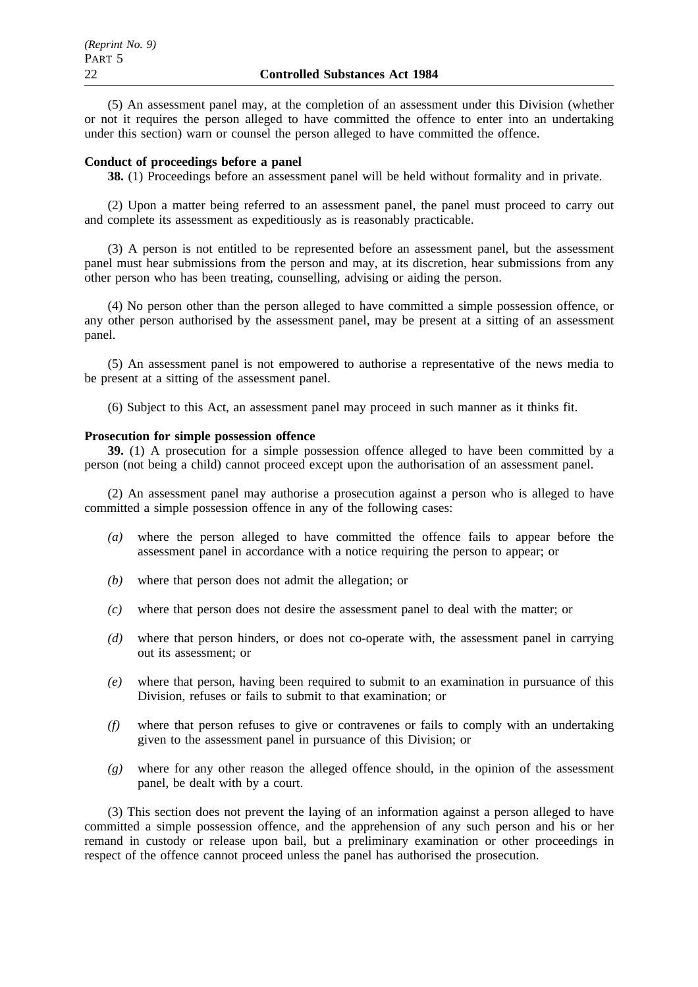(5) An assessment panel may, at the completion of an assessment under this Division (whether or not it requires the person alleged to have committed the offence to enter into an undertaking under this section) warn or counsel the person alleged to have committed the offence.

## **Conduct of proceedings before a panel**

**38.** (1) Proceedings before an assessment panel will be held without formality and in private.

(2) Upon a matter being referred to an assessment panel, the panel must proceed to carry out and complete its assessment as expeditiously as is reasonably practicable.

(3) A person is not entitled to be represented before an assessment panel, but the assessment panel must hear submissions from the person and may, at its discretion, hear submissions from any other person who has been treating, counselling, advising or aiding the person.

(4) No person other than the person alleged to have committed a simple possession offence, or any other person authorised by the assessment panel, may be present at a sitting of an assessment panel.

(5) An assessment panel is not empowered to authorise a representative of the news media to be present at a sitting of the assessment panel.

(6) Subject to this Act, an assessment panel may proceed in such manner as it thinks fit.

## **Prosecution for simple possession offence**

**39.** (1) A prosecution for a simple possession offence alleged to have been committed by a person (not being a child) cannot proceed except upon the authorisation of an assessment panel.

(2) An assessment panel may authorise a prosecution against a person who is alleged to have committed a simple possession offence in any of the following cases:

- *(a)* where the person alleged to have committed the offence fails to appear before the assessment panel in accordance with a notice requiring the person to appear; or
- *(b)* where that person does not admit the allegation; or
- *(c)* where that person does not desire the assessment panel to deal with the matter; or
- *(d)* where that person hinders, or does not co-operate with, the assessment panel in carrying out its assessment; or
- *(e)* where that person, having been required to submit to an examination in pursuance of this Division, refuses or fails to submit to that examination; or
- *(f)* where that person refuses to give or contravenes or fails to comply with an undertaking given to the assessment panel in pursuance of this Division; or
- *(g)* where for any other reason the alleged offence should, in the opinion of the assessment panel, be dealt with by a court.

(3) This section does not prevent the laying of an information against a person alleged to have committed a simple possession offence, and the apprehension of any such person and his or her remand in custody or release upon bail, but a preliminary examination or other proceedings in respect of the offence cannot proceed unless the panel has authorised the prosecution.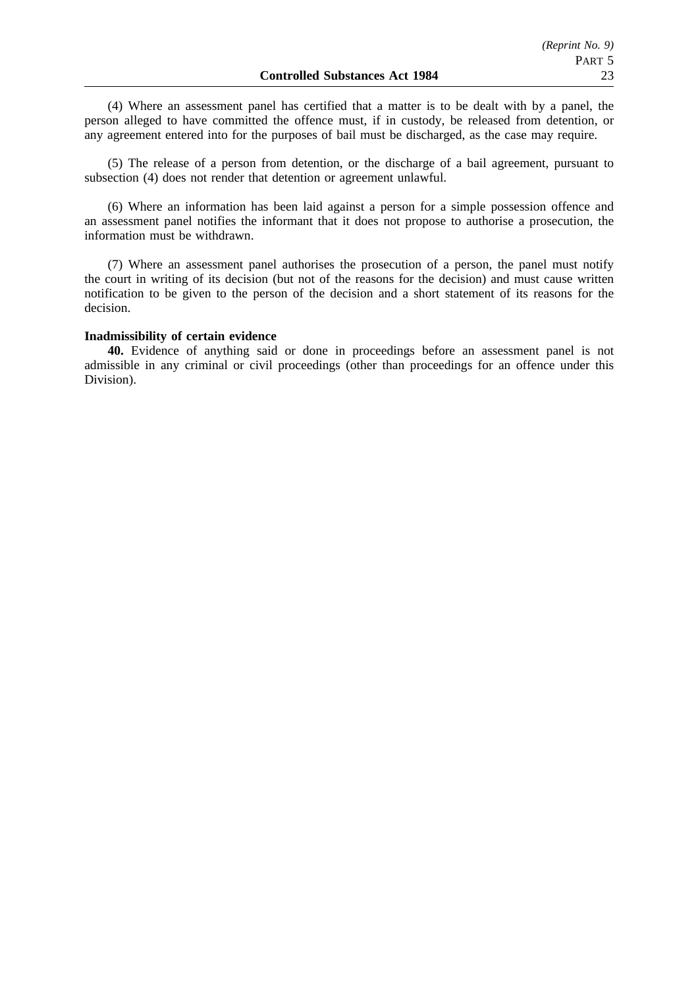(4) Where an assessment panel has certified that a matter is to be dealt with by a panel, the person alleged to have committed the offence must, if in custody, be released from detention, or any agreement entered into for the purposes of bail must be discharged, as the case may require.

(5) The release of a person from detention, or the discharge of a bail agreement, pursuant to subsection (4) does not render that detention or agreement unlawful.

(6) Where an information has been laid against a person for a simple possession offence and an assessment panel notifies the informant that it does not propose to authorise a prosecution, the information must be withdrawn.

(7) Where an assessment panel authorises the prosecution of a person, the panel must notify the court in writing of its decision (but not of the reasons for the decision) and must cause written notification to be given to the person of the decision and a short statement of its reasons for the decision.

## **Inadmissibility of certain evidence**

**40.** Evidence of anything said or done in proceedings before an assessment panel is not admissible in any criminal or civil proceedings (other than proceedings for an offence under this Division).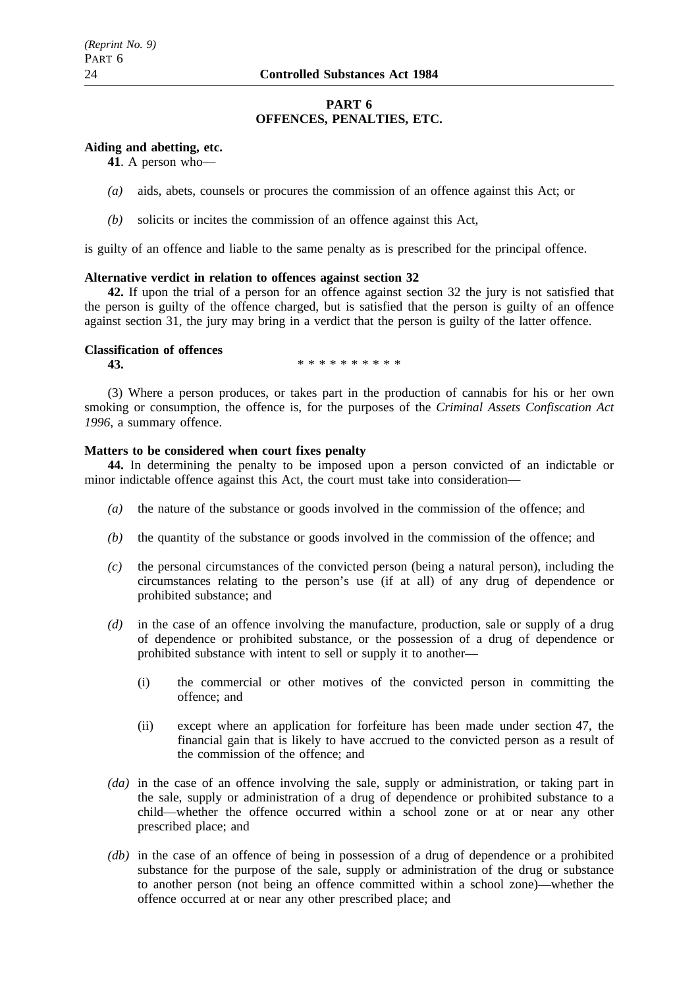# **PART 6 OFFENCES, PENALTIES, ETC.**

# **Aiding and abetting, etc.**

**41**. A person who—

- *(a)* aids, abets, counsels or procures the commission of an offence against this Act; or
- *(b)* solicits or incites the commission of an offence against this Act,

is guilty of an offence and liable to the same penalty as is prescribed for the principal offence.

# **Alternative verdict in relation to offences against section 32**

**42.** If upon the trial of a person for an offence against section 32 the jury is not satisfied that the person is guilty of the offence charged, but is satisfied that the person is guilty of an offence against section 31, the jury may bring in a verdict that the person is guilty of the latter offence.

# **Classification of offences**

**43.** \*\*\*\*\*\*\*\*\*\*\*

(3) Where a person produces, or takes part in the production of cannabis for his or her own smoking or consumption, the offence is, for the purposes of the *Criminal Assets Confiscation Act 1996*, a summary offence.

# **Matters to be considered when court fixes penalty**

**44.** In determining the penalty to be imposed upon a person convicted of an indictable or minor indictable offence against this Act, the court must take into consideration—

- *(a)* the nature of the substance or goods involved in the commission of the offence; and
- *(b)* the quantity of the substance or goods involved in the commission of the offence; and
- *(c)* the personal circumstances of the convicted person (being a natural person), including the circumstances relating to the person's use (if at all) of any drug of dependence or prohibited substance; and
- *(d)* in the case of an offence involving the manufacture, production, sale or supply of a drug of dependence or prohibited substance, or the possession of a drug of dependence or prohibited substance with intent to sell or supply it to another—
	- (i) the commercial or other motives of the convicted person in committing the offence; and
	- (ii) except where an application for forfeiture has been made under section 47, the financial gain that is likely to have accrued to the convicted person as a result of the commission of the offence; and
- *(da)* in the case of an offence involving the sale, supply or administration, or taking part in the sale, supply or administration of a drug of dependence or prohibited substance to a child—whether the offence occurred within a school zone or at or near any other prescribed place; and
- *(db)* in the case of an offence of being in possession of a drug of dependence or a prohibited substance for the purpose of the sale, supply or administration of the drug or substance to another person (not being an offence committed within a school zone)—whether the offence occurred at or near any other prescribed place; and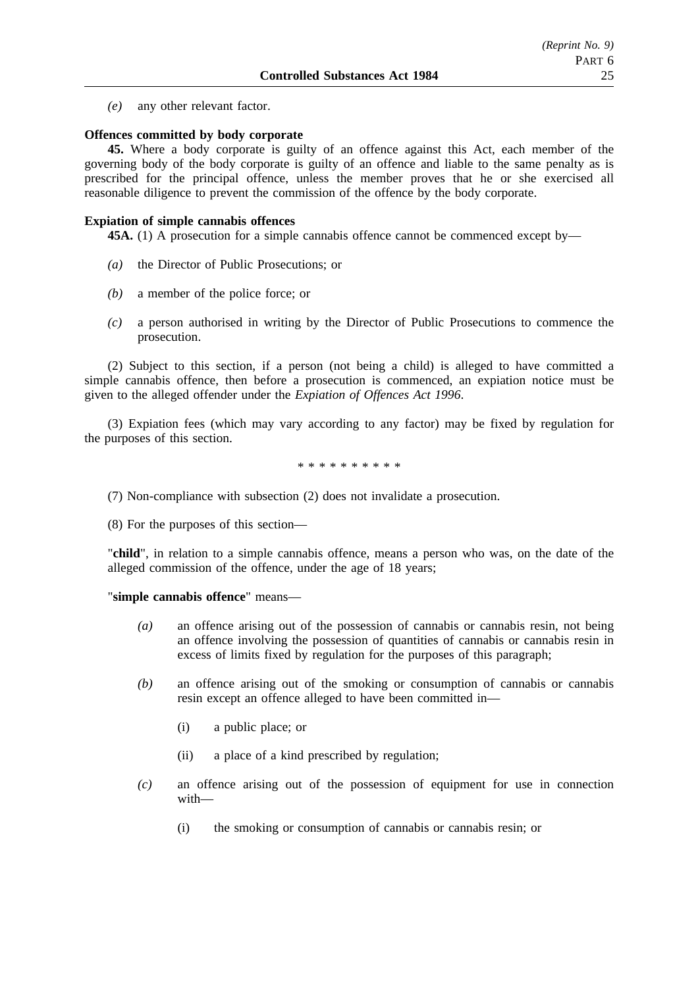*(e)* any other relevant factor.

### **Offences committed by body corporate**

**45.** Where a body corporate is guilty of an offence against this Act, each member of the governing body of the body corporate is guilty of an offence and liable to the same penalty as is prescribed for the principal offence, unless the member proves that he or she exercised all reasonable diligence to prevent the commission of the offence by the body corporate.

#### **Expiation of simple cannabis offences**

**45A.** (1) A prosecution for a simple cannabis offence cannot be commenced except by—

- *(a)* the Director of Public Prosecutions; or
- *(b)* a member of the police force; or
- *(c)* a person authorised in writing by the Director of Public Prosecutions to commence the prosecution.

(2) Subject to this section, if a person (not being a child) is alleged to have committed a simple cannabis offence, then before a prosecution is commenced, an expiation notice must be given to the alleged offender under the *Expiation of Offences Act 1996*.

(3) Expiation fees (which may vary according to any factor) may be fixed by regulation for the purposes of this section.

\*\*\*\*\*\*\*\*\*\*

(7) Non-compliance with subsection (2) does not invalidate a prosecution.

(8) For the purposes of this section—

"**child**", in relation to a simple cannabis offence, means a person who was, on the date of the alleged commission of the offence, under the age of 18 years;

"**simple cannabis offence**" means—

- *(a)* an offence arising out of the possession of cannabis or cannabis resin, not being an offence involving the possession of quantities of cannabis or cannabis resin in excess of limits fixed by regulation for the purposes of this paragraph;
- *(b)* an offence arising out of the smoking or consumption of cannabis or cannabis resin except an offence alleged to have been committed in—
	- (i) a public place; or
	- (ii) a place of a kind prescribed by regulation;
- *(c)* an offence arising out of the possession of equipment for use in connection with—
	- (i) the smoking or consumption of cannabis or cannabis resin; or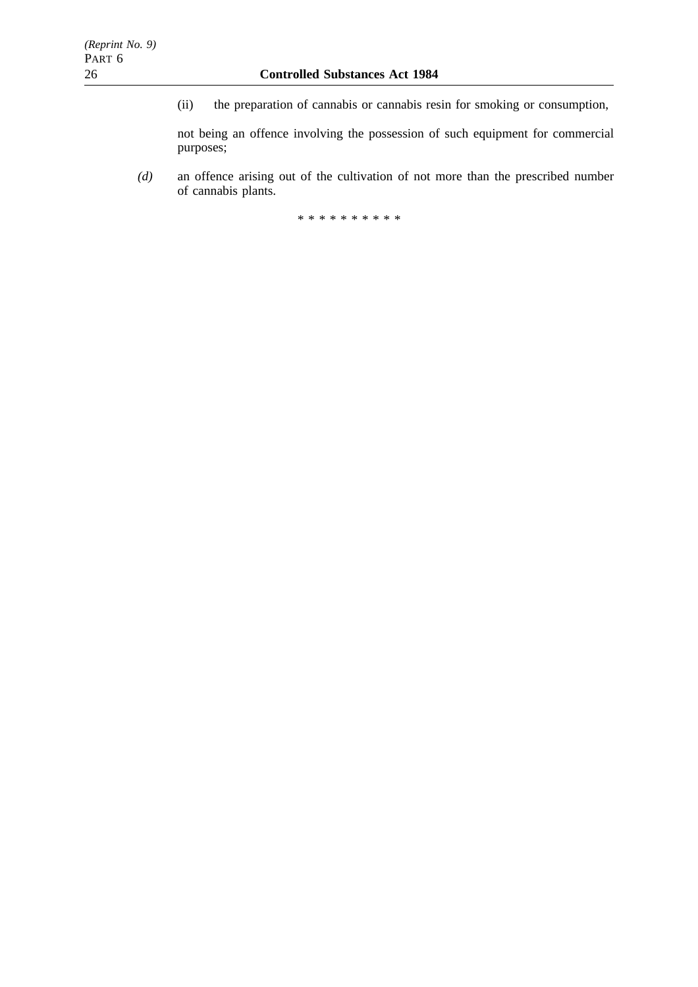(ii) the preparation of cannabis or cannabis resin for smoking or consumption,

not being an offence involving the possession of such equipment for commercial purposes;

*(d)* an offence arising out of the cultivation of not more than the prescribed number of cannabis plants.

\*\*\*\*\*\*\*\*\*\*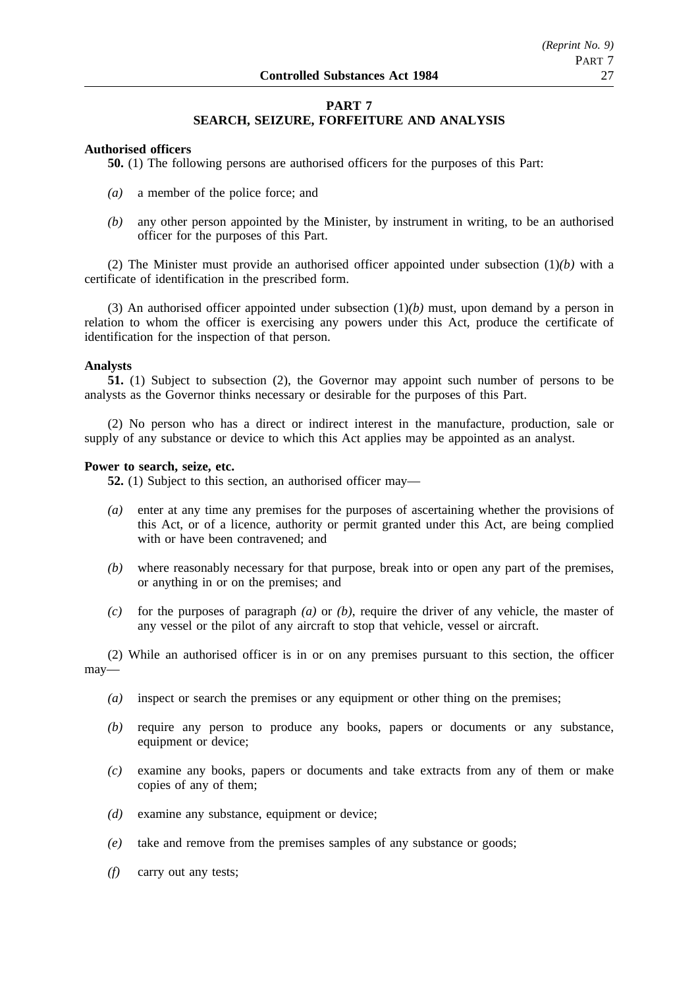# **PART 7 SEARCH, SEIZURE, FORFEITURE AND ANALYSIS**

## **Authorised officers**

**50.** (1) The following persons are authorised officers for the purposes of this Part:

- *(a)* a member of the police force; and
- *(b)* any other person appointed by the Minister, by instrument in writing, to be an authorised officer for the purposes of this Part.

(2) The Minister must provide an authorised officer appointed under subsection (1)*(b)* with a certificate of identification in the prescribed form.

(3) An authorised officer appointed under subsection (1)*(b)* must, upon demand by a person in relation to whom the officer is exercising any powers under this Act, produce the certificate of identification for the inspection of that person.

#### **Analysts**

**51.** (1) Subject to subsection (2), the Governor may appoint such number of persons to be analysts as the Governor thinks necessary or desirable for the purposes of this Part.

(2) No person who has a direct or indirect interest in the manufacture, production, sale or supply of any substance or device to which this Act applies may be appointed as an analyst.

#### **Power to search, seize, etc.**

**52.** (1) Subject to this section, an authorised officer may—

- *(a)* enter at any time any premises for the purposes of ascertaining whether the provisions of this Act, or of a licence, authority or permit granted under this Act, are being complied with or have been contravened; and
- *(b)* where reasonably necessary for that purpose, break into or open any part of the premises, or anything in or on the premises; and
- *(c)* for the purposes of paragraph *(a)* or *(b)*, require the driver of any vehicle, the master of any vessel or the pilot of any aircraft to stop that vehicle, vessel or aircraft.

(2) While an authorised officer is in or on any premises pursuant to this section, the officer may—

- *(a)* inspect or search the premises or any equipment or other thing on the premises;
- *(b)* require any person to produce any books, papers or documents or any substance, equipment or device;
- *(c)* examine any books, papers or documents and take extracts from any of them or make copies of any of them;
- *(d)* examine any substance, equipment or device;
- *(e)* take and remove from the premises samples of any substance or goods;
- *(f)* carry out any tests;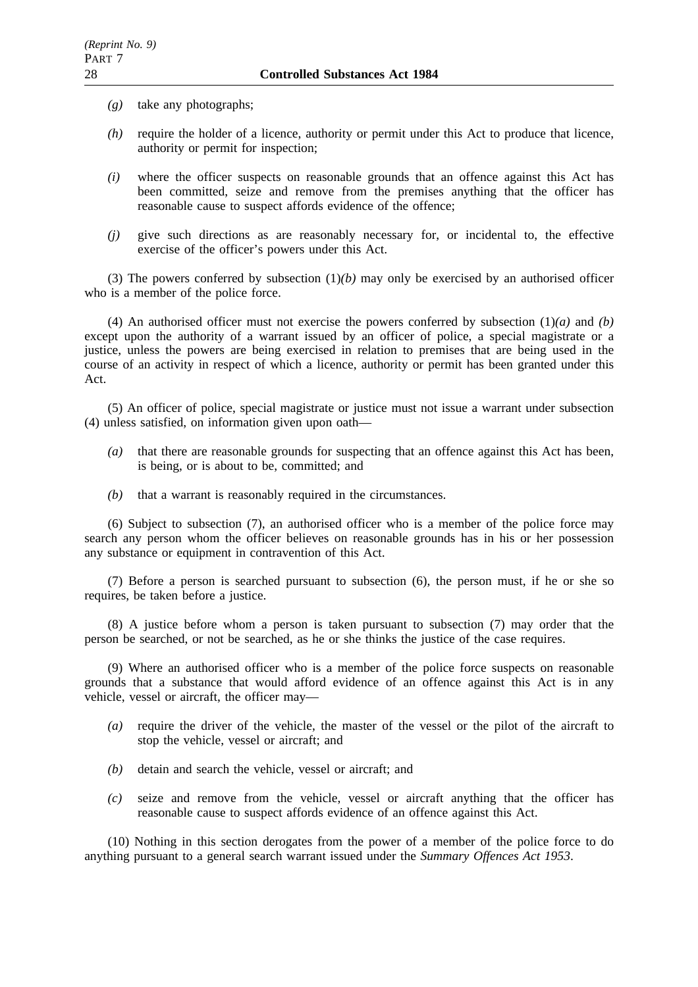- *(g)* take any photographs;
- *(h)* require the holder of a licence, authority or permit under this Act to produce that licence, authority or permit for inspection;
- *(i)* where the officer suspects on reasonable grounds that an offence against this Act has been committed, seize and remove from the premises anything that the officer has reasonable cause to suspect affords evidence of the offence;
- *(j)* give such directions as are reasonably necessary for, or incidental to, the effective exercise of the officer's powers under this Act.

(3) The powers conferred by subsection  $(1)(b)$  may only be exercised by an authorised officer who is a member of the police force.

(4) An authorised officer must not exercise the powers conferred by subsection (1)*(a)* and *(b)* except upon the authority of a warrant issued by an officer of police, a special magistrate or a justice, unless the powers are being exercised in relation to premises that are being used in the course of an activity in respect of which a licence, authority or permit has been granted under this Act.

(5) An officer of police, special magistrate or justice must not issue a warrant under subsection (4) unless satisfied, on information given upon oath—

- *(a)* that there are reasonable grounds for suspecting that an offence against this Act has been, is being, or is about to be, committed; and
- *(b)* that a warrant is reasonably required in the circumstances.

(6) Subject to subsection (7), an authorised officer who is a member of the police force may search any person whom the officer believes on reasonable grounds has in his or her possession any substance or equipment in contravention of this Act.

(7) Before a person is searched pursuant to subsection (6), the person must, if he or she so requires, be taken before a justice.

(8) A justice before whom a person is taken pursuant to subsection (7) may order that the person be searched, or not be searched, as he or she thinks the justice of the case requires.

(9) Where an authorised officer who is a member of the police force suspects on reasonable grounds that a substance that would afford evidence of an offence against this Act is in any vehicle, vessel or aircraft, the officer may—

- *(a)* require the driver of the vehicle, the master of the vessel or the pilot of the aircraft to stop the vehicle, vessel or aircraft; and
- *(b)* detain and search the vehicle, vessel or aircraft; and
- *(c)* seize and remove from the vehicle, vessel or aircraft anything that the officer has reasonable cause to suspect affords evidence of an offence against this Act.

(10) Nothing in this section derogates from the power of a member of the police force to do anything pursuant to a general search warrant issued under the *Summary Offences Act 1953*.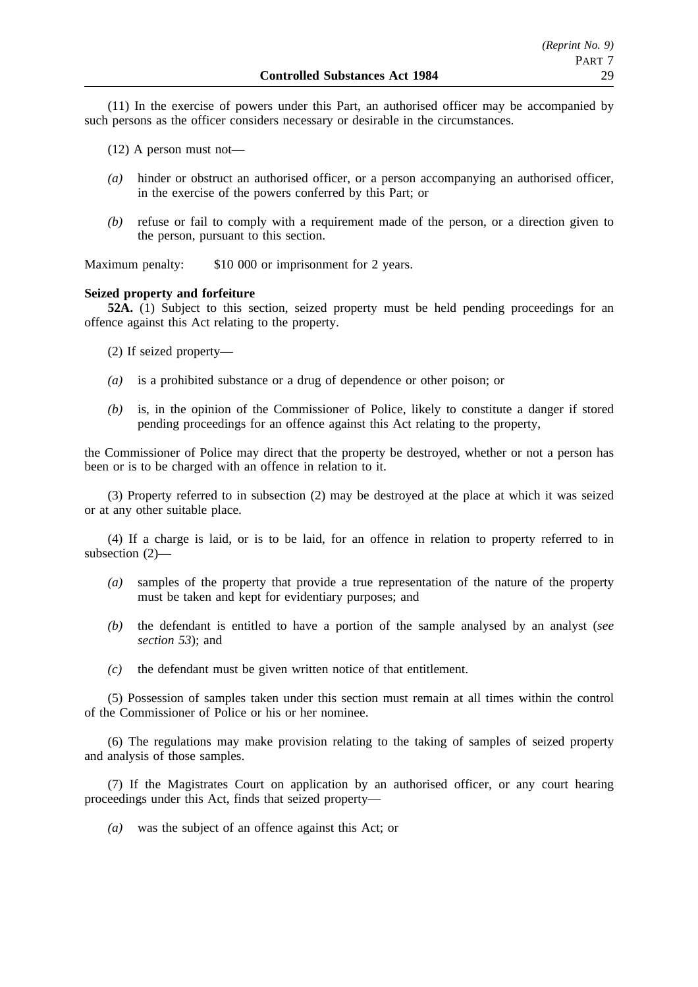(11) In the exercise of powers under this Part, an authorised officer may be accompanied by such persons as the officer considers necessary or desirable in the circumstances.

(12) A person must not—

- *(a)* hinder or obstruct an authorised officer, or a person accompanying an authorised officer, in the exercise of the powers conferred by this Part; or
- *(b)* refuse or fail to comply with a requirement made of the person, or a direction given to the person, pursuant to this section.

Maximum penalty: \$10 000 or imprisonment for 2 years.

#### **Seized property and forfeiture**

**52A.** (1) Subject to this section, seized property must be held pending proceedings for an offence against this Act relating to the property.

- (2) If seized property—
- *(a)* is a prohibited substance or a drug of dependence or other poison; or
- *(b)* is, in the opinion of the Commissioner of Police, likely to constitute a danger if stored pending proceedings for an offence against this Act relating to the property,

the Commissioner of Police may direct that the property be destroyed, whether or not a person has been or is to be charged with an offence in relation to it.

(3) Property referred to in subsection (2) may be destroyed at the place at which it was seized or at any other suitable place.

(4) If a charge is laid, or is to be laid, for an offence in relation to property referred to in subsection (2)—

- *(a)* samples of the property that provide a true representation of the nature of the property must be taken and kept for evidentiary purposes; and
- *(b)* the defendant is entitled to have a portion of the sample analysed by an analyst (*see section 53*); and
- *(c)* the defendant must be given written notice of that entitlement.

(5) Possession of samples taken under this section must remain at all times within the control of the Commissioner of Police or his or her nominee.

(6) The regulations may make provision relating to the taking of samples of seized property and analysis of those samples.

(7) If the Magistrates Court on application by an authorised officer, or any court hearing proceedings under this Act, finds that seized property—

*(a)* was the subject of an offence against this Act; or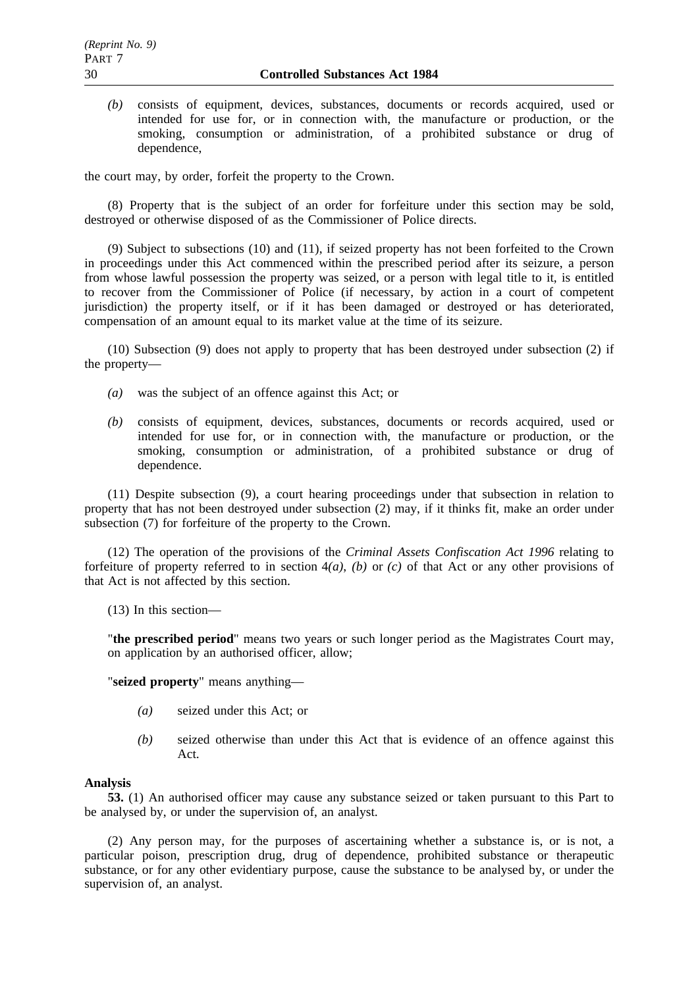*(b)* consists of equipment, devices, substances, documents or records acquired, used or intended for use for, or in connection with, the manufacture or production, or the smoking, consumption or administration, of a prohibited substance or drug of dependence,

the court may, by order, forfeit the property to the Crown.

(8) Property that is the subject of an order for forfeiture under this section may be sold, destroyed or otherwise disposed of as the Commissioner of Police directs.

(9) Subject to subsections (10) and (11), if seized property has not been forfeited to the Crown in proceedings under this Act commenced within the prescribed period after its seizure, a person from whose lawful possession the property was seized, or a person with legal title to it, is entitled to recover from the Commissioner of Police (if necessary, by action in a court of competent jurisdiction) the property itself, or if it has been damaged or destroyed or has deteriorated, compensation of an amount equal to its market value at the time of its seizure.

(10) Subsection (9) does not apply to property that has been destroyed under subsection (2) if the property—

- *(a)* was the subject of an offence against this Act; or
- *(b)* consists of equipment, devices, substances, documents or records acquired, used or intended for use for, or in connection with, the manufacture or production, or the smoking, consumption or administration, of a prohibited substance or drug of dependence.

(11) Despite subsection (9), a court hearing proceedings under that subsection in relation to property that has not been destroyed under subsection (2) may, if it thinks fit, make an order under subsection (7) for forfeiture of the property to the Crown.

(12) The operation of the provisions of the *Criminal Assets Confiscation Act 1996* relating to forfeiture of property referred to in section 4*(a)*, *(b)* or *(c)* of that Act or any other provisions of that Act is not affected by this section.

(13) In this section—

"**the prescribed period**" means two years or such longer period as the Magistrates Court may, on application by an authorised officer, allow;

"**seized property**" means anything—

- *(a)* seized under this Act; or
- *(b)* seized otherwise than under this Act that is evidence of an offence against this Act.

#### **Analysis**

**53.** (1) An authorised officer may cause any substance seized or taken pursuant to this Part to be analysed by, or under the supervision of, an analyst.

(2) Any person may, for the purposes of ascertaining whether a substance is, or is not, a particular poison, prescription drug, drug of dependence, prohibited substance or therapeutic substance, or for any other evidentiary purpose, cause the substance to be analysed by, or under the supervision of, an analyst.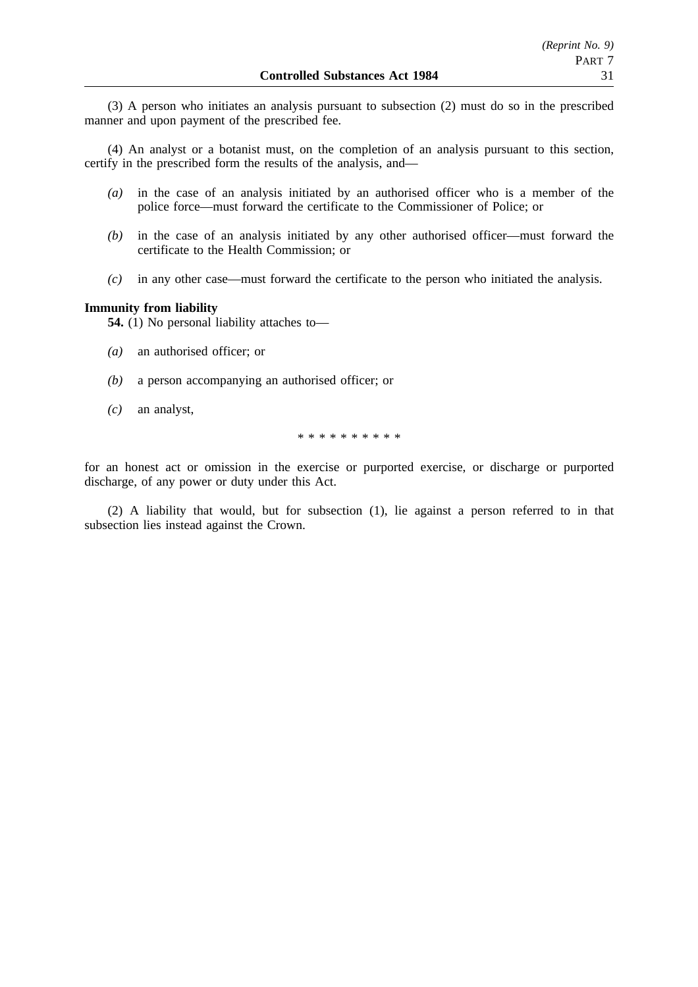(3) A person who initiates an analysis pursuant to subsection (2) must do so in the prescribed manner and upon payment of the prescribed fee.

(4) An analyst or a botanist must, on the completion of an analysis pursuant to this section, certify in the prescribed form the results of the analysis, and—

- *(a)* in the case of an analysis initiated by an authorised officer who is a member of the police force—must forward the certificate to the Commissioner of Police; or
- *(b)* in the case of an analysis initiated by any other authorised officer—must forward the certificate to the Health Commission; or
- *(c)* in any other case—must forward the certificate to the person who initiated the analysis.

## **Immunity from liability**

**54.** (1) No personal liability attaches to—

- *(a)* an authorised officer; or
- *(b)* a person accompanying an authorised officer; or
- *(c)* an analyst,

\*\*\*\*\*\*\*\*\*\*

for an honest act or omission in the exercise or purported exercise, or discharge or purported discharge, of any power or duty under this Act.

(2) A liability that would, but for subsection (1), lie against a person referred to in that subsection lies instead against the Crown.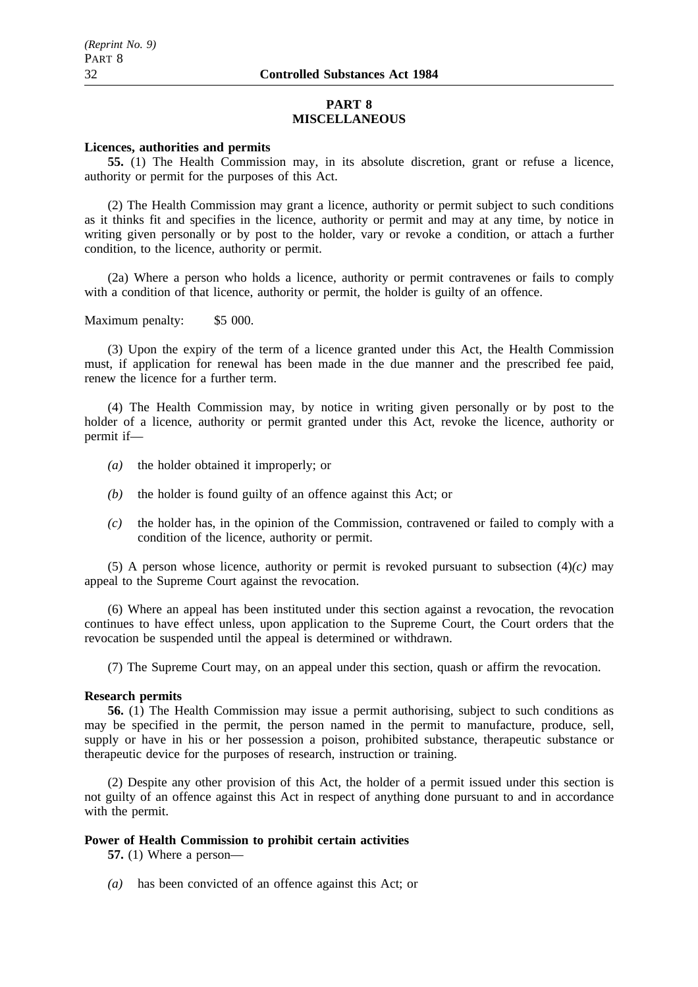## **PART 8 MISCELLANEOUS**

## **Licences, authorities and permits**

**55.** (1) The Health Commission may, in its absolute discretion, grant or refuse a licence, authority or permit for the purposes of this Act.

(2) The Health Commission may grant a licence, authority or permit subject to such conditions as it thinks fit and specifies in the licence, authority or permit and may at any time, by notice in writing given personally or by post to the holder, vary or revoke a condition, or attach a further condition, to the licence, authority or permit.

(2a) Where a person who holds a licence, authority or permit contravenes or fails to comply with a condition of that licence, authority or permit, the holder is guilty of an offence.

Maximum penalty: \$5 000.

(3) Upon the expiry of the term of a licence granted under this Act, the Health Commission must, if application for renewal has been made in the due manner and the prescribed fee paid, renew the licence for a further term.

(4) The Health Commission may, by notice in writing given personally or by post to the holder of a licence, authority or permit granted under this Act, revoke the licence, authority or permit if—

- *(a)* the holder obtained it improperly; or
- *(b)* the holder is found guilty of an offence against this Act; or
- *(c)* the holder has, in the opinion of the Commission, contravened or failed to comply with a condition of the licence, authority or permit.

(5) A person whose licence, authority or permit is revoked pursuant to subsection (4)*(c)* may appeal to the Supreme Court against the revocation.

(6) Where an appeal has been instituted under this section against a revocation, the revocation continues to have effect unless, upon application to the Supreme Court, the Court orders that the revocation be suspended until the appeal is determined or withdrawn.

(7) The Supreme Court may, on an appeal under this section, quash or affirm the revocation.

#### **Research permits**

**56.** (1) The Health Commission may issue a permit authorising, subject to such conditions as may be specified in the permit, the person named in the permit to manufacture, produce, sell, supply or have in his or her possession a poison, prohibited substance, therapeutic substance or therapeutic device for the purposes of research, instruction or training.

(2) Despite any other provision of this Act, the holder of a permit issued under this section is not guilty of an offence against this Act in respect of anything done pursuant to and in accordance with the permit.

## **Power of Health Commission to prohibit certain activities**

**57.** (1) Where a person—

*(a)* has been convicted of an offence against this Act; or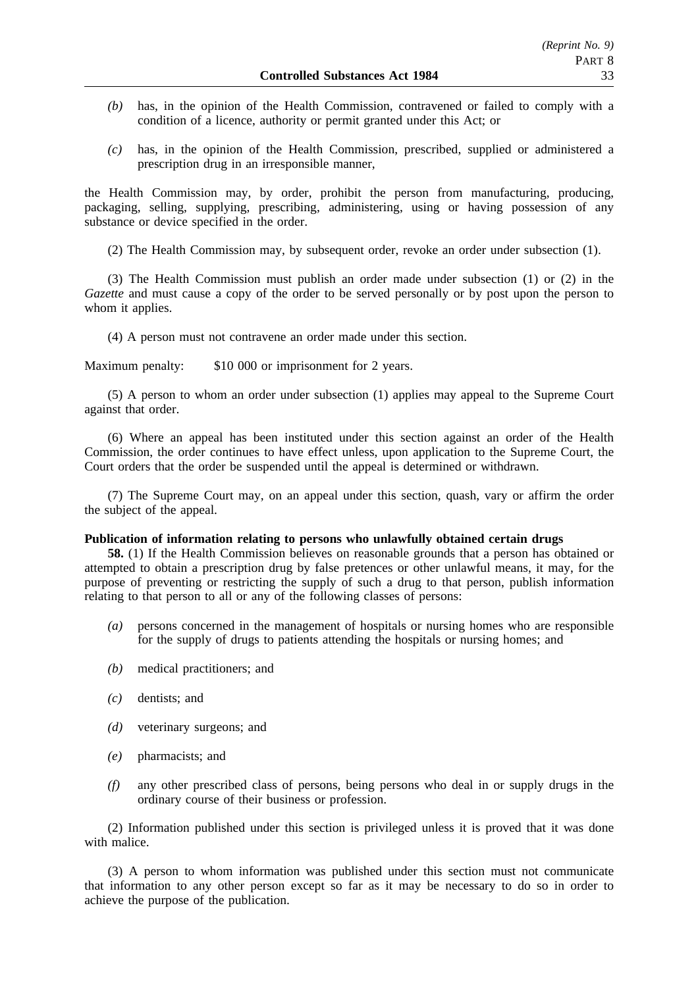- *(b)* has, in the opinion of the Health Commission, contravened or failed to comply with a condition of a licence, authority or permit granted under this Act; or
- *(c)* has, in the opinion of the Health Commission, prescribed, supplied or administered a prescription drug in an irresponsible manner,

the Health Commission may, by order, prohibit the person from manufacturing, producing, packaging, selling, supplying, prescribing, administering, using or having possession of any substance or device specified in the order.

(2) The Health Commission may, by subsequent order, revoke an order under subsection (1).

(3) The Health Commission must publish an order made under subsection (1) or (2) in the *Gazette* and must cause a copy of the order to be served personally or by post upon the person to whom it applies.

(4) A person must not contravene an order made under this section.

Maximum penalty: \$10 000 or imprisonment for 2 years.

(5) A person to whom an order under subsection (1) applies may appeal to the Supreme Court against that order.

(6) Where an appeal has been instituted under this section against an order of the Health Commission, the order continues to have effect unless, upon application to the Supreme Court, the Court orders that the order be suspended until the appeal is determined or withdrawn.

(7) The Supreme Court may, on an appeal under this section, quash, vary or affirm the order the subject of the appeal.

#### **Publication of information relating to persons who unlawfully obtained certain drugs**

**58.** (1) If the Health Commission believes on reasonable grounds that a person has obtained or attempted to obtain a prescription drug by false pretences or other unlawful means, it may, for the purpose of preventing or restricting the supply of such a drug to that person, publish information relating to that person to all or any of the following classes of persons:

- *(a)* persons concerned in the management of hospitals or nursing homes who are responsible for the supply of drugs to patients attending the hospitals or nursing homes; and
- *(b)* medical practitioners; and
- *(c)* dentists; and
- *(d)* veterinary surgeons; and
- *(e)* pharmacists; and
- *(f)* any other prescribed class of persons, being persons who deal in or supply drugs in the ordinary course of their business or profession.

(2) Information published under this section is privileged unless it is proved that it was done with malice.

(3) A person to whom information was published under this section must not communicate that information to any other person except so far as it may be necessary to do so in order to achieve the purpose of the publication.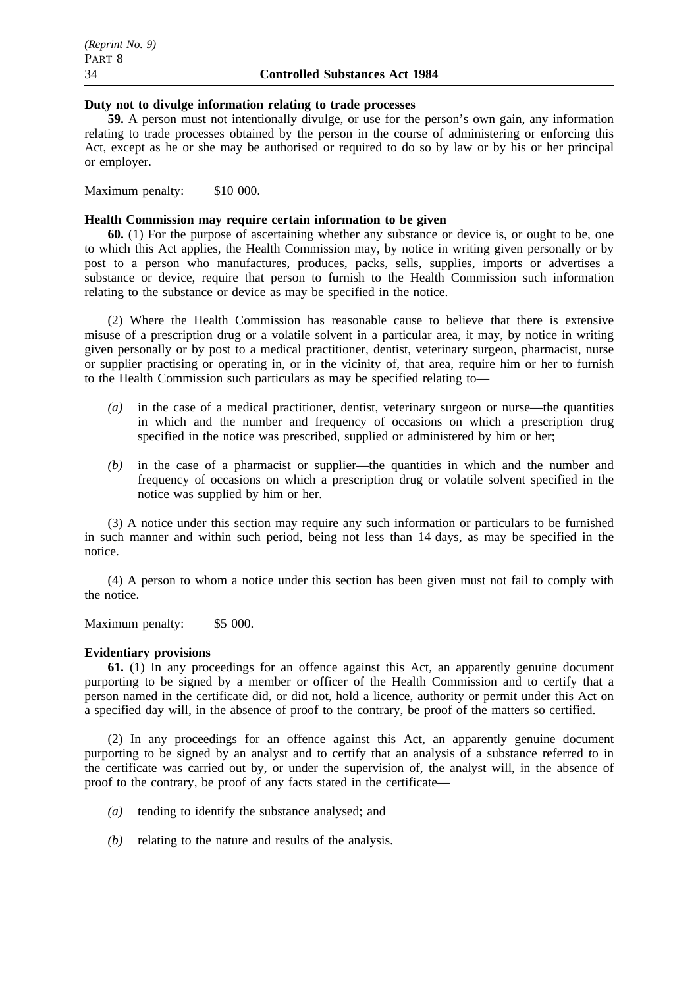#### **Duty not to divulge information relating to trade processes**

**59.** A person must not intentionally divulge, or use for the person's own gain, any information relating to trade processes obtained by the person in the course of administering or enforcing this Act, except as he or she may be authorised or required to do so by law or by his or her principal or employer.

Maximum penalty: \$10 000.

### **Health Commission may require certain information to be given**

**60.** (1) For the purpose of ascertaining whether any substance or device is, or ought to be, one to which this Act applies, the Health Commission may, by notice in writing given personally or by post to a person who manufactures, produces, packs, sells, supplies, imports or advertises a substance or device, require that person to furnish to the Health Commission such information relating to the substance or device as may be specified in the notice.

(2) Where the Health Commission has reasonable cause to believe that there is extensive misuse of a prescription drug or a volatile solvent in a particular area, it may, by notice in writing given personally or by post to a medical practitioner, dentist, veterinary surgeon, pharmacist, nurse or supplier practising or operating in, or in the vicinity of, that area, require him or her to furnish to the Health Commission such particulars as may be specified relating to—

- *(a)* in the case of a medical practitioner, dentist, veterinary surgeon or nurse—the quantities in which and the number and frequency of occasions on which a prescription drug specified in the notice was prescribed, supplied or administered by him or her;
- *(b)* in the case of a pharmacist or supplier—the quantities in which and the number and frequency of occasions on which a prescription drug or volatile solvent specified in the notice was supplied by him or her.

(3) A notice under this section may require any such information or particulars to be furnished in such manner and within such period, being not less than 14 days, as may be specified in the notice.

(4) A person to whom a notice under this section has been given must not fail to comply with the notice.

Maximum penalty: \$5 000.

#### **Evidentiary provisions**

**61.** (1) In any proceedings for an offence against this Act, an apparently genuine document purporting to be signed by a member or officer of the Health Commission and to certify that a person named in the certificate did, or did not, hold a licence, authority or permit under this Act on a specified day will, in the absence of proof to the contrary, be proof of the matters so certified.

(2) In any proceedings for an offence against this Act, an apparently genuine document purporting to be signed by an analyst and to certify that an analysis of a substance referred to in the certificate was carried out by, or under the supervision of, the analyst will, in the absence of proof to the contrary, be proof of any facts stated in the certificate—

- *(a)* tending to identify the substance analysed; and
- *(b)* relating to the nature and results of the analysis.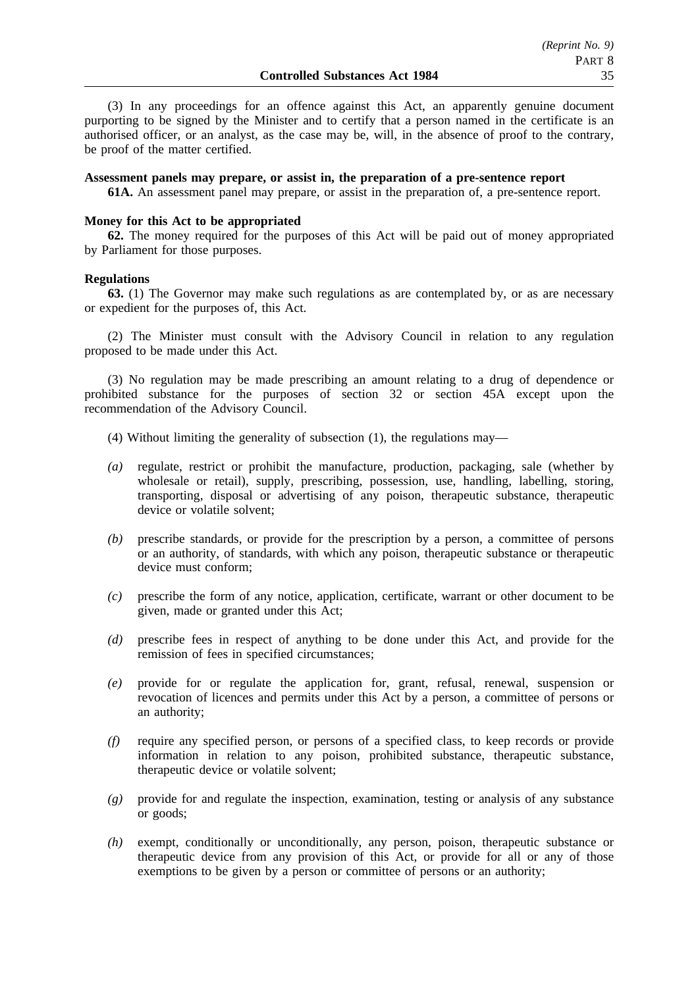(3) In any proceedings for an offence against this Act, an apparently genuine document purporting to be signed by the Minister and to certify that a person named in the certificate is an authorised officer, or an analyst, as the case may be, will, in the absence of proof to the contrary, be proof of the matter certified.

#### **Assessment panels may prepare, or assist in, the preparation of a pre-sentence report**

**61A.** An assessment panel may prepare, or assist in the preparation of, a pre-sentence report.

### **Money for this Act to be appropriated**

**62.** The money required for the purposes of this Act will be paid out of money appropriated by Parliament for those purposes.

#### **Regulations**

**63.** (1) The Governor may make such regulations as are contemplated by, or as are necessary or expedient for the purposes of, this Act.

(2) The Minister must consult with the Advisory Council in relation to any regulation proposed to be made under this Act.

(3) No regulation may be made prescribing an amount relating to a drug of dependence or prohibited substance for the purposes of section 32 or section 45A except upon the recommendation of the Advisory Council.

- (4) Without limiting the generality of subsection (1), the regulations may—
- *(a)* regulate, restrict or prohibit the manufacture, production, packaging, sale (whether by wholesale or retail), supply, prescribing, possession, use, handling, labelling, storing, transporting, disposal or advertising of any poison, therapeutic substance, therapeutic device or volatile solvent;
- *(b)* prescribe standards, or provide for the prescription by a person, a committee of persons or an authority, of standards, with which any poison, therapeutic substance or therapeutic device must conform;
- *(c)* prescribe the form of any notice, application, certificate, warrant or other document to be given, made or granted under this Act;
- *(d)* prescribe fees in respect of anything to be done under this Act, and provide for the remission of fees in specified circumstances;
- *(e)* provide for or regulate the application for, grant, refusal, renewal, suspension or revocation of licences and permits under this Act by a person, a committee of persons or an authority;
- *(f)* require any specified person, or persons of a specified class, to keep records or provide information in relation to any poison, prohibited substance, therapeutic substance, therapeutic device or volatile solvent;
- *(g)* provide for and regulate the inspection, examination, testing or analysis of any substance or goods;
- *(h)* exempt, conditionally or unconditionally, any person, poison, therapeutic substance or therapeutic device from any provision of this Act, or provide for all or any of those exemptions to be given by a person or committee of persons or an authority;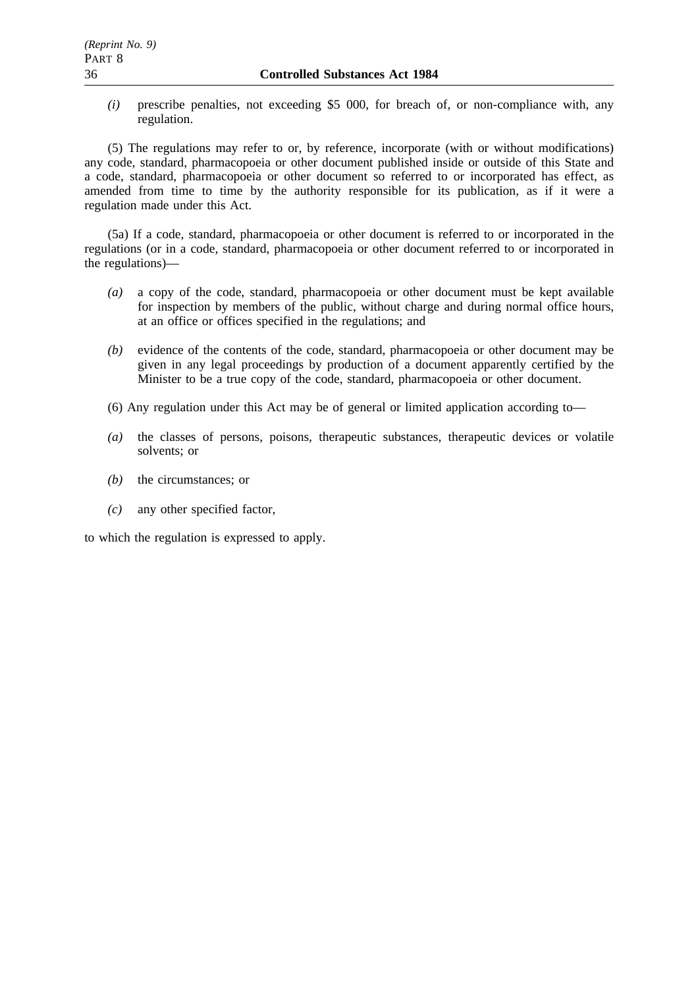*(i)* prescribe penalties, not exceeding \$5 000, for breach of, or non-compliance with, any regulation.

(5) The regulations may refer to or, by reference, incorporate (with or without modifications) any code, standard, pharmacopoeia or other document published inside or outside of this State and a code, standard, pharmacopoeia or other document so referred to or incorporated has effect, as amended from time to time by the authority responsible for its publication, as if it were a regulation made under this Act.

(5a) If a code, standard, pharmacopoeia or other document is referred to or incorporated in the regulations (or in a code, standard, pharmacopoeia or other document referred to or incorporated in the regulations)—

- *(a)* a copy of the code, standard, pharmacopoeia or other document must be kept available for inspection by members of the public, without charge and during normal office hours, at an office or offices specified in the regulations; and
- *(b)* evidence of the contents of the code, standard, pharmacopoeia or other document may be given in any legal proceedings by production of a document apparently certified by the Minister to be a true copy of the code, standard, pharmacopoeia or other document.
- (6) Any regulation under this Act may be of general or limited application according to—
- *(a)* the classes of persons, poisons, therapeutic substances, therapeutic devices or volatile solvents; or
- *(b)* the circumstances; or
- *(c)* any other specified factor,

to which the regulation is expressed to apply.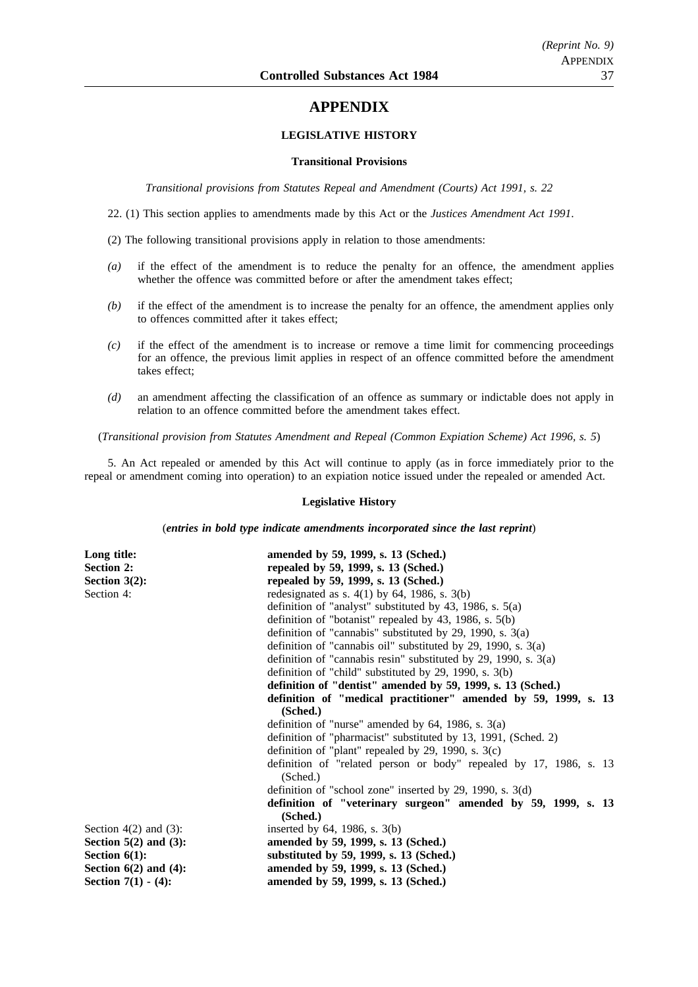# **APPENDIX**

#### **LEGISLATIVE HISTORY**

#### **Transitional Provisions**

*Transitional provisions from Statutes Repeal and Amendment (Courts) Act 1991, s. 22*

22. (1) This section applies to amendments made by this Act or the *Justices Amendment Act 1991*.

(2) The following transitional provisions apply in relation to those amendments:

- *(a)* if the effect of the amendment is to reduce the penalty for an offence, the amendment applies whether the offence was committed before or after the amendment takes effect;
- *(b)* if the effect of the amendment is to increase the penalty for an offence, the amendment applies only to offences committed after it takes effect;
- *(c)* if the effect of the amendment is to increase or remove a time limit for commencing proceedings for an offence, the previous limit applies in respect of an offence committed before the amendment takes effect;
- *(d)* an amendment affecting the classification of an offence as summary or indictable does not apply in relation to an offence committed before the amendment takes effect.

(*Transitional provision from Statutes Amendment and Repeal (Common Expiation Scheme) Act 1996, s. 5*)

5. An Act repealed or amended by this Act will continue to apply (as in force immediately prior to the repeal or amendment coming into operation) to an expiation notice issued under the repealed or amended Act.

#### **Legislative History**

(*entries in bold type indicate amendments incorporated since the last reprint*)

| Long title:                | amended by 59, 1999, s. 13 (Sched.)                                            |
|----------------------------|--------------------------------------------------------------------------------|
| <b>Section 2:</b>          | repealed by 59, 1999, s. 13 (Sched.)                                           |
| Section $3(2)$ :           | repealed by 59, 1999, s. 13 (Sched.)                                           |
| Section 4:                 | redesignated as s. $4(1)$ by 64, 1986, s. $3(b)$                               |
|                            | definition of "analyst" substituted by 43, 1986, s. $5(a)$                     |
|                            | definition of "botanist" repealed by 43, 1986, s. $5(b)$                       |
|                            | definition of "cannabis" substituted by 29, 1990, s. $3(a)$                    |
|                            | definition of "cannabis oil" substituted by 29, 1990, s. 3(a)                  |
|                            | definition of "cannabis resin" substituted by 29, 1990, s. $3(a)$              |
|                            | definition of "child" substituted by 29, 1990, s. $3(b)$                       |
|                            | definition of "dentist" amended by 59, 1999, s. 13 (Sched.)                    |
|                            | definition of "medical practitioner" amended by 59, 1999, s. 13                |
|                            | (Sched.)                                                                       |
|                            | definition of "nurse" amended by $64$ , 1986, s. $3(a)$                        |
|                            | definition of "pharmacist" substituted by 13, 1991, (Sched. 2)                 |
|                            | definition of "plant" repealed by 29, 1990, s. $3(c)$                          |
|                            | definition of "related person or body" repealed by 17, 1986, s. 13<br>(Sched.) |
|                            | definition of "school zone" inserted by 29, 1990, s. $3(d)$                    |
|                            | definition of "veterinary surgeon" amended by 59, 1999, s. 13<br>(Sched.)      |
| Section $4(2)$ and $(3)$ : | inserted by $64$ , 1986, s. $3(b)$                                             |
| Section $5(2)$ and $(3)$ : | amended by 59, 1999, s. 13 (Sched.)                                            |
| Section $6(1)$ :           | substituted by 59, 1999, s. 13 (Sched.)                                        |
| Section $6(2)$ and $(4)$ : | amended by 59, 1999, s. 13 (Sched.)                                            |
| Section $7(1) - (4)$ :     | amended by 59, 1999, s. 13 (Sched.)                                            |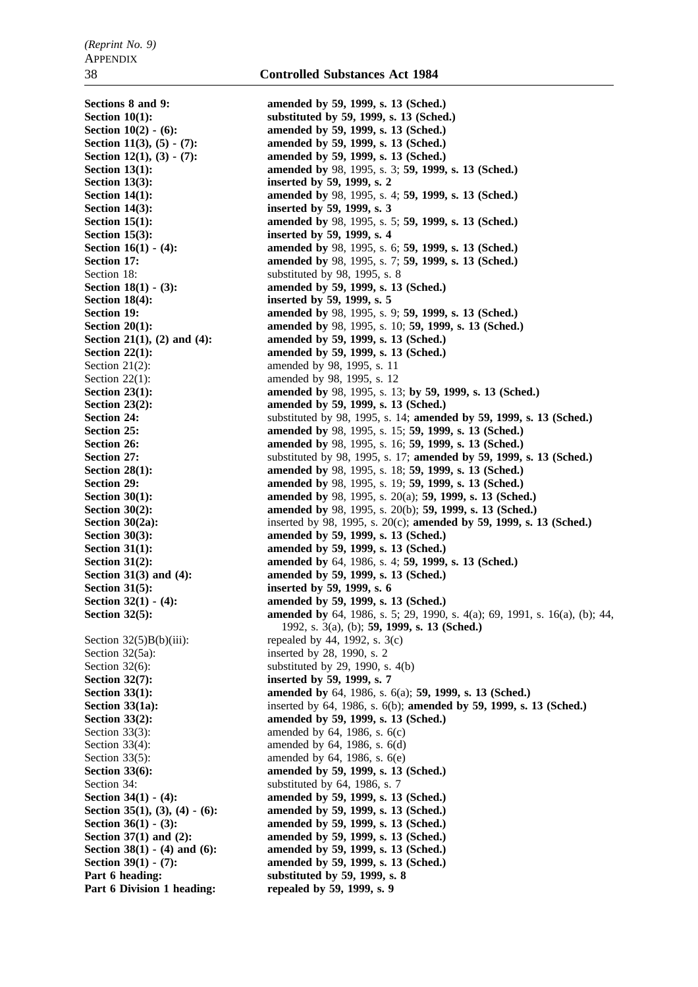**Section 13(3):** inserted by 59, 1999, s. 2 Section 14(3): inserted by 59, 1999, s. 3 **Section 15(3):** inserted by 59, 1999, s. 4 Section 18: substituted by 98, 1995, s. 8 **Section 18(4): inserted by 59, 1999, s. 5** Section 21(2): amended by 98, 1995, s. 11 Section 22(1): amended by 98, 1995, s. 12 **Section 31(5): inserted by 59, 1999, s. 6** Section  $32(5)B(b)(iii)$ : repealed by 44, 1992, s.  $3(c)$ Section 32(5a): inserted by 28, 1990, s. 2 Section 32(7): **inserted by 59, 1999, s. 7** Section 34: substituted by 64, 1986, s. 7

**Sections 8 and 9: amended by 59, 1999, s. 13 (Sched.) Section 10(1):** substituted by 59, 1999, s. 13 (Sched.) **Section 10(2) - (6): amended by 59, 1999, s. 13 (Sched.) Section 11(3), (5) - (7): amended by 59, 1999, s. 13 (Sched.) Section 12(1), (3) - (7): amended by 59, 1999, s. 13 (Sched.) Section 13(1): amended by** 98, 1995, s. 3; **59, 1999, s. 13 (Sched.) Section 14(1): amended by** 98, 1995, s. 4; **59, 1999, s. 13 (Sched.) Section 15(1): amended by** 98, 1995, s. 5; **59, 1999, s. 13 (Sched.) Section 16(1) - (4): amended by** 98, 1995, s. 6; **59, 1999, s. 13 (Sched.) Section 17: amended by** 98, 1995, s. 7; **59, 1999, s. 13 (Sched.) Section 18(1) - (3):** amended by 59, 1999, s. 13 (Sched.) **Section 19: amended by** 98, 1995, s. 9; **59, 1999, s. 13 (Sched.) Section 20(1): amended by** 98, 1995, s. 10; **59, 1999, s. 13 (Sched.) Section 21(1), (2) and (4):** amended by 59, 1999, s. 13 (Sched.) **Section 22(1): amended by 59, 1999, s. 13 (Sched.) Section 23(1): amended by** 98, 1995, s. 13; **by 59, 1999, s. 13 (Sched.) Section 23(2): amended by 59, 1999, s. 13 (Sched.) Section 24:** substituted by 98, 1995, s. 14; **amended by 59, 1999, s. 13 (Sched.) Section 25: amended by** 98, 1995, s. 15; **59, 1999, s. 13 (Sched.) Section 26: amended by** 98, 1995, s. 16; **59, 1999, s. 13 (Sched.) Section 27: Section 27: Substituted by 98, 1995, s. 17: <b>amended by 59, 1999, s. 13 (Sched.**) **Section 28(1): amended by** 98, 1995, s. 18; **59, 1999, s. 13 (Sched.) Section 29: amended by** 98, 1995, s. 19; **59, 1999, s. 13 (Sched.) Section 30(1): amended by** 98, 1995, s. 20(a); **59, 1999, s. 13 (Sched.) Section 30(2): amended by** 98, 1995, s. 20(b); **59, 1999, s. 13 (Sched.) Section 30(2a):** inserted by 98, 1995, s. 20(c); **amended by 59, 1999, s. 13 (Sched.**) **Section 30(3): amended by 59, 1999, s. 13 (Sched.) Section 31(1): amended by 59, 1999, s. 13 (Sched.) Section 31(2): amended by** 64, 1986, s. 4; **59, 1999, s. 13 (Sched.) Section 31(3) and (4): amended by 59, 1999, s. 13 (Sched.) Section 32(1) - (4): amended by 59, 1999, s. 13 (Sched.) Section 32(5): amended by** 64, 1986, s. 5; 29, 1990, s. 4(a); 69, 1991, s. 16(a), (b); 44, 1992, s. 3(a), (b); **59, 1999, s. 13 (Sched.)** Section  $32(6)$ : substituted by 29, 1990, s. 4(b) **Section 33(1): amended by** 64, 1986, s. 6(a); **59, 1999, s. 13 (Sched.)**<br>**Section 33(1a):** inserted by 64, 1986, s. 6(b); **amended by 59, 1999, s. Section 33(1a):** inserted by 64, 1986, s. 6(b); **amended by 59, 1999, s. 13 (Sched.)** Section 33(2): **amended by 59, 1999, s. 13 (Sched.)** Section 33(3): amended by 64, 1986, s. 6(c) Section 33(4): amended by 64, 1986, s. 6(d) Section 33(5): amended by 64, 1986, s. 6(e) Section 33(6): **amended by 59, 1999, s. 13 (Sched.) Section 34(1) - (4): amended by 59, 1999, s. 13 (Sched.) Section 35(1), (3), (4) - (6): amended by 59, 1999, s. 13 (Sched.) Section 36(1) - (3):** amended by 59, 1999, s. 13 (Sched.) **Section 37(1) and (2): amended by 59, 1999, s. 13 (Sched.) Section 38(1) - (4) and (6): amended by 59, 1999, s. 13 (Sched.) Section 39(1) - (7): amended by 59, 1999, s. 13 (Sched.) Part 6 heading: substituted by 59, 1999, s. 8** Part 6 Division 1 heading: repealed by 59, 1999, s. 9